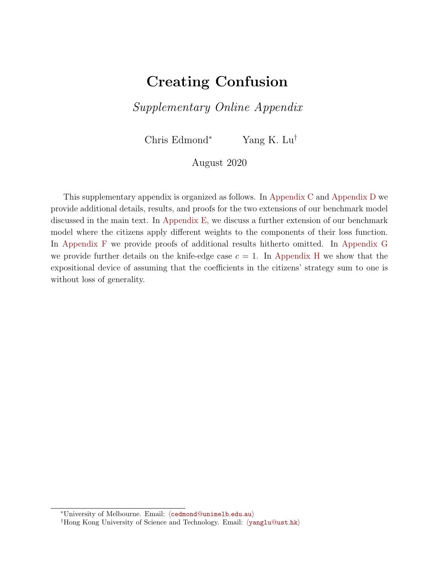# Creating Confusion

Supplementary Online Appendix

Chris Edmond<sup>∗</sup> Yang K. Lu†

August 2020

This supplementary appendix is organized as follows. In [Appendix C](#page-1-0) and [Appendix D](#page-8-0) we provide additional details, results, and proofs for the two extensions of our benchmark model discussed in the main text. In Appendix  $E$ , we discuss a further extension of our benchmark model where the citizens apply different weights to the components of their loss function. In [Appendix F](#page-12-0) we provide proofs of additional results hitherto omitted. In [Appendix G](#page-17-0) we provide further details on the knife-edge case  $c = 1$ . In [Appendix H](#page-19-0) we show that the expositional device of assuming that the coefficients in the citizens' strategy sum to one is without loss of generality.

<sup>\*</sup>University of Melbourne. Email: ([cedmond](mailto:cedmond@unimelb.edu.au)@unimelb.edu.au)

<sup>&</sup>lt;sup>†</sup>Hong Kong University of Science and Technology. Email:  $\langle$ [yanglu](mailto:yanglu@ust.hk)@ust.hk $\rangle$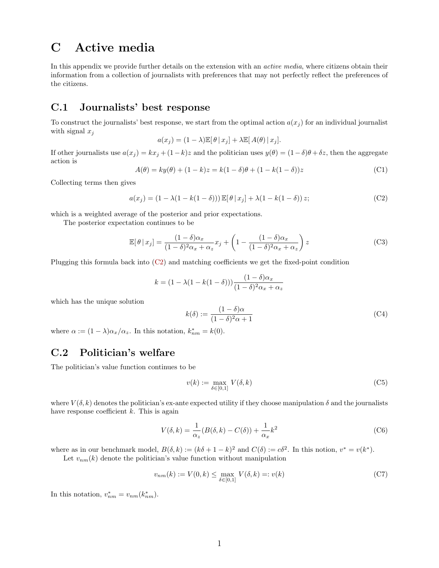## <span id="page-1-0"></span>C Active media

In this appendix we provide further details on the extension with an *active media*, where citizens obtain their information from a collection of journalists with preferences that may not perfectly reflect the preferences of the citizens.

## C.1 Journalists' best response

To construct the journalists' best response, we start from the optimal action  $a(x_i)$  for an individual journalist with signal  $x_i$ 

$$
a(x_j) = (1 - \lambda) \mathbb{E}[\theta | x_j] + \lambda \mathbb{E}[A(\theta) | x_j].
$$

If other journalists use  $a(x_j) = kx_j + (1-k)z$  and the politician uses  $y(\theta) = (1-\delta)\theta + \delta z$ , then the aggregate action is

$$
A(\theta) = ky(\theta) + (1 - k)z = k(1 - \delta)\theta + (1 - k(1 - \delta))z
$$
 (C1)

Collecting terms then gives

<span id="page-1-1"></span>
$$
a(x_j) = (1 - \lambda(1 - k(1 - \delta))) \mathbb{E}[\theta | x_j] + \lambda(1 - k(1 - \delta)) z;
$$
 (C2)

which is a weighted average of the posterior and prior expectations.

The posterior expectation continues to be

$$
\mathbb{E}[\theta | x_j] = \frac{(1 - \delta)\alpha_x}{(1 - \delta)^2 \alpha_x + \alpha_z} x_j + \left(1 - \frac{(1 - \delta)\alpha_x}{(1 - \delta)^2 \alpha_x + \alpha_z}\right) z \tag{C3}
$$

Plugging this formula back into [\(C2\)](#page-1-1) and matching coefficients we get the fixed-point condition

$$
k = (1 - \lambda(1 - k(1 - \delta))) \frac{(1 - \delta)\alpha_x}{(1 - \delta)^2 \alpha_x + \alpha_z}
$$

which has the unique solution

$$
k(\delta) := \frac{(1 - \delta)\alpha}{(1 - \delta)^2 \alpha + 1} \tag{C4}
$$

where  $\alpha := (1 - \lambda)\alpha_x/\alpha_z$ . In this notation,  $k_{nm}^* = k(0)$ .

## C.2 Politician's welfare

The politician's value function continues to be

$$
v(k) := \max_{\delta \in [0,1]} V(\delta, k) \tag{C5}
$$

where  $V(\delta, k)$  denotes the politician's ex-ante expected utility if they choose manipulation  $\delta$  and the journalists have response coefficient  $k$ . This is again

$$
V(\delta, k) = \frac{1}{\alpha_z} (B(\delta, k) - C(\delta)) + \frac{1}{\alpha_x} k^2
$$
 (C6)

where as in our benchmark model,  $B(\delta, k) := (k\delta + 1 - k)^2$  and  $C(\delta) := c\delta^2$ . In this notion,  $v^* = v(k^*)$ . Let  $v_{nm}(k)$  denote the politician's value function without manipulation

$$
v_{nm}(k) := V(0, k) \le \max_{\delta \in [0, 1]} V(\delta, k) =: v(k)
$$
 (C7)

In this notation,  $v_{nm}^* = v_{nm}(k_{nm}^*).$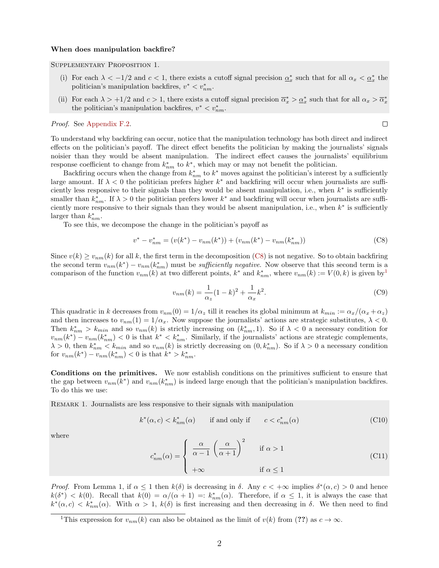#### When does manipulation backfire?

#### Supplementary Proposition 1.

- (i) For each  $\lambda < -1/2$  and  $c < 1$ , there exists a cutoff signal precision  $\underline{\alpha}_x^*$  such that for all  $\alpha_x < \underline{\alpha}_x^*$  the politician's manipulation backfires,  $v^* < v_{nm}^*$ .
- (ii) For each  $\lambda > +1/2$  and  $c > 1$ , there exists a cutoff signal precision  $\overline{\alpha}_x^* > \underline{\alpha}_x^*$  such that for all  $\alpha_x > \overline{\alpha}_x^*$ the politician's manipulation backfires,  $v^* < v_{nm}^*$ .

#### Proof. See [Appendix F.2.](#page-14-0)

 $\Box$ 

To understand why backfiring can occur, notice that the manipulation technology has both direct and indirect effects on the politician's payoff. The direct effect benefits the politician by making the journalists' signals noisier than they would be absent manipulation. The indirect effect causes the journalists' equilibrium response coefficient to change from  $k_{nm}^*$  to  $k^*$ , which may or may not benefit the politician.

Backfiring occurs when the change from  $k_{nm}^*$  to  $k^*$  moves against the politician's interest by a sufficiently large amount. If  $\lambda < 0$  the politician prefers higher  $k^*$  and backfiring will occur when journalists are sufficiently less responsive to their signals than they would be absent manipulation, i.e., when  $k^*$  is sufficiently smaller than  $k_{nm}^*$ . If  $\lambda > 0$  the politician prefers lower  $k^*$  and backfiring will occur when journalists are sufficiently more responsive to their signals than they would be absent manipulation, i.e., when  $k^*$  is sufficiently larger than  $k_{nm}^*$ .

To see this, we decompose the change in the politician's payoff as

<span id="page-2-0"></span>
$$
v^* - v_{nm}^* = (v(k^*) - v_{nm}(k^*)) + (v_{nm}(k^*) - v_{nm}(k_{nm}^*))
$$
\n(C8)

Since  $v(k) \geq v_{nm}(k)$  for all k, the first term in the decomposition [\(C8\)](#page-2-0) is not negative. So to obtain backfiring the second term  $v_{nm}(k^*) - v_{nm}(k^*_{nm})$  must be *sufficiently negative*. Now observe that this second term is a comparison of the function  $v_{nm}(k)$  at two different points,  $k^*$  and  $k^*_{nm}$ , where  $v_{nm}(k) := V(0, k)$  is given by<sup>[1](#page-2-1)</sup>

<span id="page-2-2"></span>
$$
v_{nm}(k) = \frac{1}{\alpha_z} (1 - k)^2 + \frac{1}{\alpha_x} k^2.
$$
 (C9)

This quadratic in k decreases from  $v_{nm}(0) = 1/\alpha_z$  till it reaches its global minimum at  $k_{min} := \alpha_x/(\alpha_x + \alpha_z)$ and then increases to  $v_{nm}(1) = 1/\alpha_x$ . Now suppose the journalists' actions are strategic substitutes,  $\lambda < 0$ . Then  $k_{nm}^* > k_{min}$  and so  $v_{nm}(k)$  is strictly increasing on  $(k_{nm}^*, 1)$ . So if  $\lambda < 0$  a necessary condition for  $v_{nm}(k^*) - v_{nm}(k^*_{nm}) < 0$  is that  $k^* < k^*_{nm}$ . Similarly, if the journalists' actions are strategic complements,  $\lambda > 0$ , then  $k_{nm}^* < k_{min}$  and so  $v_{nm}(k)$  is strictly decreasing on  $(0, k_{nm}^*)$ . So if  $\lambda > 0$  a necessary condition for  $v_{nm}(k^*) - v_{nm}(k^*_{nm}) < 0$  is that  $k^* > k^*_{nm}$ .

Conditions on the primitives. We now establish conditions on the primitives sufficient to ensure that the gap between  $v_{nm}(k^*)$  and  $v_{nm}(k^*_{nm})$  is indeed large enough that the politician's manipulation backfires. To do this we use:

<span id="page-2-3"></span>Remark 1. Journalists are less responsive to their signals with manipulation

$$
k^*(\alpha, c) < k^*_{nm}(\alpha) \qquad \text{if and only if} \qquad c < c^*_{nm}(\alpha) \tag{C10}
$$

where

<span id="page-2-4"></span>
$$
c_{nm}^*(\alpha) = \begin{cases} \frac{\alpha}{\alpha - 1} \left( \frac{\alpha}{\alpha + 1} \right)^2 & \text{if } \alpha > 1 \\ +\infty & \text{if } \alpha \le 1 \end{cases}
$$
(C11)

*Proof.* From Lemma 1, if  $\alpha \leq 1$  then  $k(\delta)$  is decreasing in  $\delta$ . Any  $c < +\infty$  implies  $\delta^*(\alpha, c) > 0$  and hence  $k(\delta^*) < k(0)$ . Recall that  $k(0) = \alpha/(\alpha+1) = k_{nm}^*(\alpha)$ . Therefore, if  $\alpha \leq 1$ , it is always the case that  $k^*(\alpha, c) < k^*_{nm}(\alpha)$ . With  $\alpha > 1$ ,  $k(\delta)$  is first increasing and then decreasing in  $\delta$ . We then need to find

<span id="page-2-1"></span><sup>&</sup>lt;sup>1</sup>This expression for  $v_{nm}(k)$  can also be obtained as the limit of  $v(k)$  from (??) as  $c \to \infty$ .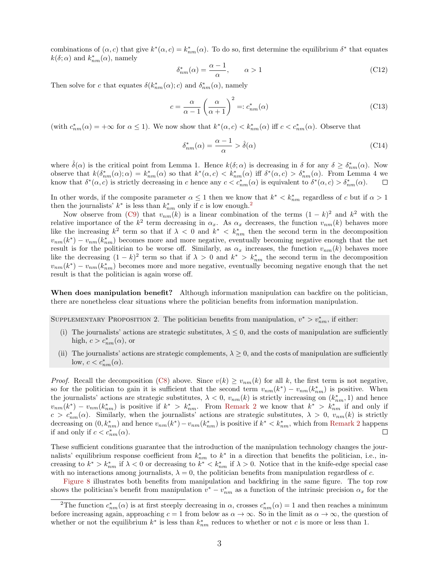combinations of  $(\alpha, c)$  that give  $k^*(\alpha, c) = k^*_{nm}(\alpha)$ . To do so, first determine the equilibrium  $\delta^*$  that equates  $k(\delta; \alpha)$  and  $k_{nm}^*(\alpha)$ , namely

$$
\delta_{nm}^*(\alpha) = \frac{\alpha - 1}{\alpha}, \qquad \alpha > 1
$$
\n(C12)

Then solve for c that equates  $\delta(k_{nm}^*(\alpha); c)$  and  $\delta_{nm}^*(\alpha)$ , namely

$$
c = \frac{\alpha}{\alpha - 1} \left( \frac{\alpha}{\alpha + 1} \right)^2 =: c_{nm}^*(\alpha)
$$
\n(C13)

(with  $c_{nm}^*(\alpha) = +\infty$  for  $\alpha \leq 1$ ). We now show that  $k^*(\alpha, c) < k^*_{nm}(\alpha)$  iff  $c < c^*_{nm}(\alpha)$ . Observe that

$$
\delta_{nm}^*(\alpha) = \frac{\alpha - 1}{\alpha} > \hat{\delta}(\alpha)
$$
\n(C14)

where  $\hat{\delta}(\alpha)$  is the critical point from Lemma 1. Hence  $k(\delta;\alpha)$  is decreasing in  $\delta$  for any  $\delta \geq \delta^*_{nm}(\alpha)$ . Now observe that  $k(\delta^*_{nm}(\alpha); \alpha) = k^*_{nm}(\alpha)$  so that  $k^*(\alpha, c) < k^*_{nm}(\alpha)$  iff  $\delta^*(\alpha, c) > \delta^*_{nm}(\alpha)$ . From Lemma 4 we know that  $\delta^*(\alpha, c)$  is strictly decreasing in c hence any  $c < c^*_{nm}(\alpha)$  is equivalent to  $\delta^*(\alpha, c) > \delta^*_{nm}(\alpha)$ .

In other words, if the composite parameter  $\alpha \leq 1$  then we know that  $k^* < k^*_{nm}$  regardless of c but if  $\alpha > 1$ then the journalists'  $k^*$  is less than  $k^*_{nm}$  only if c is low enough.<sup>[2](#page-3-0)</sup>

Now observe from [\(C9\)](#page-2-2) that  $v_{nm}(k)$  is a linear combination of the terms  $(1 - k)^2$  and  $k^2$  with the relative importance of the  $k^2$  term decreasing in  $\alpha_x$ . As  $\alpha_x$  decreases, the function  $v_{nm}(k)$  behaves more like the increasing  $k^2$  term so that if  $\lambda < 0$  and  $k^* < k^*_{nm}$  then the second term in the decomposition  $v_{nm}(k^*) - v_{nm}(k^*_{nm})$  becomes more and more negative, eventually becoming negative enough that the net result is for the politician to be worse off. Similarly, as  $\alpha_x$  increases, the function  $v_{nm}(k)$  behaves more like the decreasing  $(1-k)^2$  term so that if  $\lambda > 0$  and  $k^* > k^*_{nm}$  the second term in the decomposition  $v_{nm}(k^*) - v_{nm}(k^*_{nm})$  becomes more and more negative, eventually becoming negative enough that the net result is that the politician is again worse off.

When does manipulation benefit? Although information manipulation can backfire on the politician, there are nonetheless clear situations where the politician benefits from information manipulation.

SUPPLEMENTARY PROPOSITION 2. The politician benefits from manipulation,  $v^* > v_{nm}^*$ , if either:

- (i) The journalists' actions are strategic substitutes,  $\lambda \leq 0$ , and the costs of manipulation are sufficiently high,  $c > c_{nm}^*(\alpha)$ , or
- (ii) The journalists' actions are strategic complements,  $\lambda \geq 0$ , and the costs of manipulation are sufficiently low,  $c < c_{nm}^*(\alpha)$ .

*Proof.* Recall the decomposition [\(C8\)](#page-2-0) above. Since  $v(k) \ge v_{nm}(k)$  for all k, the first term is not negative, so for the politician to gain it is sufficient that the second term  $v_{nm}(k^*) - v_{nm}(k^*_{nm})$  is positive. When the journalists' actions are strategic substitutes,  $\lambda < 0$ ,  $v_{nm}(k)$  is strictly increasing on  $(k_{nm}^*, 1)$  and hence  $v_{nm}(k^*) - v_{nm}(k^*_{nm})$  is positive if  $k^* > k^*_{nm}$ . From [Remark 2](#page-2-3) we know that  $k^* > k^*_{nm}$  if and only if  $c > c<sub>nm</sub><sup>*</sup>(\alpha)$ . Similarly, when the journalists' actions are strategic substitutes,  $\lambda > 0$ ,  $v_{nm}(k)$  is strictly decreasing on  $(0, k_{nm}^*)$  and hence  $v_{nm}(k^*) - v_{nm}(k_{nm}^*)$  is positive if  $k^* < k_{nm}^*$ , which from [Remark 2](#page-2-3) happens if and only if  $c < c_{nm}^*(\alpha)$ . П

These sufficient conditions guarantee that the introduction of the manipulation technology changes the journalists' equilibrium response coefficient from  $k_{nm}^*$  to  $k^*$  in a direction that benefits the politician, i.e., increasing to  $k^* > k^*_{nm}$  if  $\lambda < 0$  or decreasing to  $k^* < k^*_{nm}$  if  $\lambda > 0$ . Notice that in the knife-edge special case with no interactions among journalists,  $\lambda = 0$ , the politician benefits from manipulation regardless of c.

[Figure 8](#page-4-0) illustrates both benefits from manipulation and backfiring in the same figure. The top row shows the politician's benefit from manipulation  $v^* - v_{nm}^*$  as a function of the intrinsic precision  $\alpha_x$  for the

<span id="page-3-0"></span><sup>&</sup>lt;sup>2</sup>The function  $c_{nm}^*(\alpha)$  is at first steeply decreasing in  $\alpha$ , crosses  $c_{nm}^*(\alpha) = 1$  and then reaches a minimum before increasing again, approaching  $c = 1$  from below as  $\alpha \to \infty$ . So in the limit as  $\alpha \to \infty$ , the question of whether or not the equilibrium  $k^*$  is less than  $k^*_{nm}$  reduces to whether or not c is more or less than 1.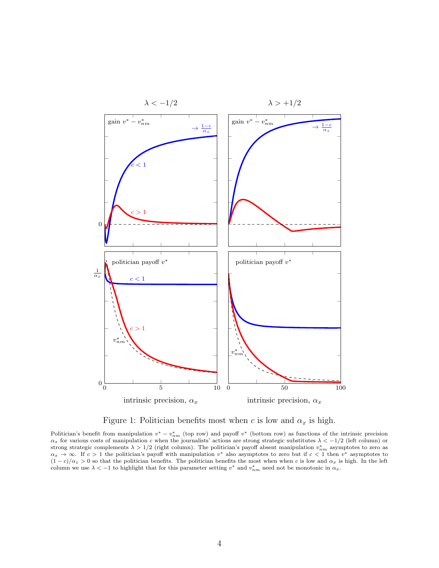<span id="page-4-0"></span>

Figure 1: Politician benefits most when c is low and  $\alpha_x$  is high.

Politician's benefit from manipulation  $v^* - v_{nm}^*$  (top row) and payoff  $v^*$  (bottom row) as functions of the intrinsic precision  $\alpha_x$  for various costs of manipulation c when the journalists' actions are strong strategic substitutes  $\lambda < -1/2$  (left column) or strong strategic complements  $\lambda > 1/2$  (right column). The politician's payoff absent manipulation  $v_{nm}^*$  asymptotes to zero as  $\alpha_x \to \infty$ . If  $c > 1$  the politician's payoff with manipulation v<sup>\*</sup> also asymptotes to zero but if  $c < 1$  then v<sup>\*</sup> asymptotes to  $(1-c)/\alpha_z > 0$  so that the politician benefits. The politician benefits the most when when c is low and  $\alpha_x$  is high. In the left column we use  $\lambda < -1$  to highlight that for this parameter setting  $v^*$  and  $v^*_{nm}$  need not be monotonic in  $\alpha_x$ .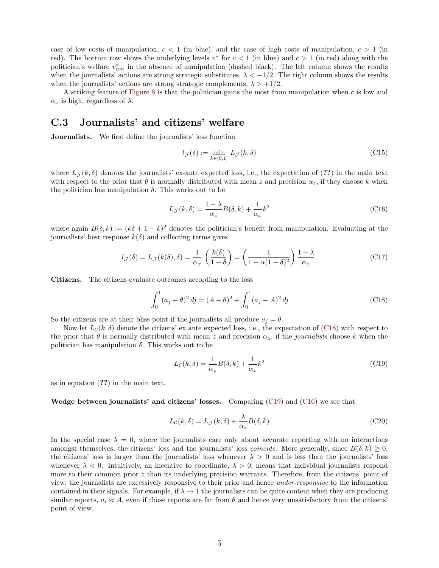case of low costs of manipulation,  $c < 1$  (in blue), and the case of high costs of manipulation,  $c > 1$  (in red). The bottom row shows the underlying levels  $v^*$  for  $c < 1$  (in blue) and  $c > 1$  (in red) along with the politician's welfare  $v_{nm}^*$  in the absence of manipulation (dashed black). The left column shows the results when the journalists' actions are strong strategic substitutes,  $\lambda < -1/2$ . The right column shows the results when the journalists' actions are strong strategic complements,  $\lambda > +1/2$ .

A striking feature of [Figure 8](#page-4-0) is that the politician gains the most from manipulation when c is low and  $\alpha_x$  is high, regardless of  $\lambda$ .

### C.3 Journalists' and citizens' welfare

Journalists. We first define the journalists' loss function

$$
l_{\mathcal{J}}(\delta) := \min_{k \in [0,1]} L_{\mathcal{J}}(k,\delta)
$$
 (C15)

where  $L_{\mathcal{J}}(k,\delta)$  denotes the journalists' ex-ante expected loss, i.e., the expectation of (??) in the main text with respect to the prior that  $\theta$  is normally distributed with mean z and precision  $\alpha_z$ , if they choose k when the politician has manipulation  $\delta$ . This works out to be

<span id="page-5-2"></span>
$$
L_{\mathcal{J}}(k,\delta) = \frac{1-\lambda}{\alpha_z}B(\delta,k) + \frac{1}{\alpha_x}k^2
$$
\n(C16)

where again  $B(\delta, k) := (k\delta + 1 - k)^2$  denotes the politician's benefit from manipulation. Evaluating at the journalists' best response  $k(\delta)$  and collecting terms gives

<span id="page-5-3"></span>
$$
l_{\mathcal{J}}(\delta) = L_{\mathcal{J}}(k(\delta), \delta) = \frac{1}{\alpha_x} \left( \frac{k(\delta)}{1 - \delta} \right) = \left( \frac{1}{1 + \alpha(1 - \delta)^2} \right) \frac{1 - \lambda}{\alpha_z}.
$$
 (C17)

Citizens. The citizens evaluate outcomes according to the loss

<span id="page-5-0"></span>
$$
\int_0^1 (a_j - \theta)^2 \, dj = (A - \theta)^2 + \int_0^1 (a_j - A)^2 \, dj \tag{C18}
$$

So the citizens are at their bliss point if the journalists all produce  $a_i = \theta$ .

Now let  $L_c(k, \delta)$  denote the citizens' ex ante expected loss, i.e., the expectation of [\(C18\)](#page-5-0) with respect to the prior that  $\theta$  is normally distributed with mean z and precision  $\alpha_z$ , if the journalists choose k when the politician has manipulation  $\delta$ . This works out to be

<span id="page-5-1"></span>
$$
L_{\mathcal{C}}(k,\delta) = \frac{1}{\alpha_z}B(\delta,k) + \frac{1}{\alpha_x}k^2
$$
\n(C19)

as in equation (??) in the main text.

Wedge between journalists' and citizens' losses. Comparing  $(C19)$  and  $(C16)$  we see that

$$
L_{\mathcal{C}}(k,\delta) = L_{\mathcal{J}}(k,\delta) + \frac{\lambda}{\alpha_z} B(\delta,k)
$$
 (C20)

In the special case  $\lambda = 0$ , where the journalists care only about accurate reporting with no interactions amongst themselves, the citizens' loss and the journalists' loss *coincide*. More generally, since  $B(\delta, k) \geq 0$ , the citizens' loss is larger than the journalists' loss whenever  $\lambda > 0$  and is less than the journalists' loss whenever  $\lambda < 0$ . Intuitively, an incentive to coordinate,  $\lambda > 0$ , means that individual journalists respond more to their common prior z than its underlying precision warrants. Therefore, from the citizens' point of view, the journalists are excessively responsive to their prior and hence under-responsive to the information contained in their signals. For example, if  $\lambda \to 1$  the journalists can be quite content when they are producing similar reports,  $a_i \approx A$ , even if those reports are far from  $\theta$  and hence very unsatisfactory from the citizens' point of view.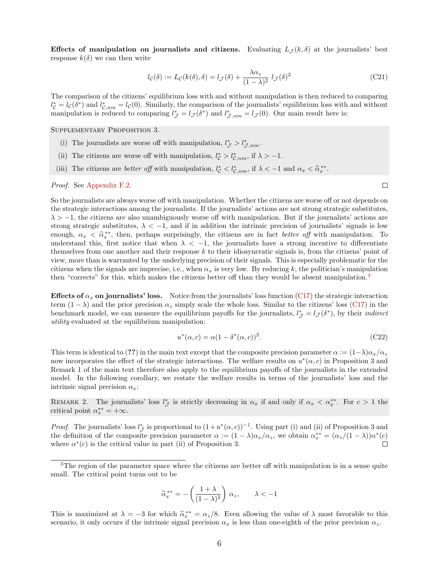Effects of manipulation on journalists and citizens. Evaluating  $L_{\mathcal{J}}(k,\delta)$  at the journalists' best response  $k(\delta)$  we can then write

<span id="page-6-1"></span>
$$
l_{\mathcal{C}}(\delta) := L_{\mathcal{C}}(k(\delta), \delta) = l_{\mathcal{J}}(\delta) + \frac{\lambda \alpha_z}{(1 - \lambda)^2} l_{\mathcal{J}}(\delta)^2
$$
(C21)

The comparison of the citizens' equilibrium loss with and without manipulation is then reduced to comparing  $l_{\mathcal{C}}^* = l_{\mathcal{C}}(\delta^*)$  and  $l_{\mathcal{C},nm}^* = l_{\mathcal{C}}(0)$ . Similarly, the comparison of the journalists' equilibrium loss with and without manipulation is reduced to comparing  $l_{\mathcal{J}}^* = l_{\mathcal{J}}(\delta^*)$  and  $l_{\mathcal{J},nm}^* = l_{\mathcal{J}}(0)$ . Our main result here is:

Supplementary Proposition 3.

- (i) The journalists are worse off with manipulation,  $l^*_{\mathcal{J}} > l^*_{\mathcal{J},nm}$ .
- (ii) The citizens are worse off with manipulation,  $l_{\mathcal{C}}^* > l_{\mathcal{C},nm}^*$ , if  $\lambda > -1$ .
- (iii) The citizens are *better off* with manipulation,  $l_c^* < l_{\mathcal{C},nm}^*$ , if  $\lambda < -1$  and  $\alpha_x < \hat{\alpha}_x^{**}$ .

Proof. See [Appendix F.2.](#page-14-0)

So the journalists are always worse off with manipulation. Whether the citizens are worse off or not depends on the strategic interactions among the journalists. If the journalists' actions are not strong strategic substitutes,  $\lambda > -1$ , the citizens are also unambiguously worse off with manipulation. But if the journalists' actions are strong strategic substitutes,  $\lambda < -1$ , and if in addition the intrinsic precision of journalists' signals is low enough,  $\alpha_x < \hat{\alpha}_x^{**}$ , then, perhaps surprisingly, the citizens are in fact *better off* with manipulation. To understand this first notice that when  $\lambda \leq 1$ , the isouralists have a strong inequire to differentiate understand this, first notice that when  $\lambda < -1$ , the journalists have a strong incentive to differentiate themselves from one another and their response  $k$  to their idiosyncratic signals is, from the citizens' point of view, more than is warranted by the underlying precision of their signals. This is especially problematic for the citizens when the signals are imprecise, i.e., when  $\alpha_x$  is very low. By reducing k, the politician's manipulation then "corrects" for this, which makes the citizens better off than they would be absent manipulation.[3](#page-6-0)

Effects of  $\alpha_x$  on journalists' loss. Notice from the journalists' loss function [\(C17\)](#page-5-3) the strategic interaction term  $(1 - \lambda)$  and the prior precision  $\alpha_z$  simply scale the whole loss. Similar to the citizens' loss [\(C17\)](#page-5-3) in the benchmark model, we can measure the equilibrium payoffs for the journalists,  $l^*_{\mathcal{J}} = l_{\mathcal{J}}(\delta^*)$ , by their *indirect* utility evaluated at the equilibrium manipulation:

$$
u^*(\alpha, c) = \alpha (1 - \delta^*(\alpha, c))^2.
$$
\n(C22)

This term is identical to (??) in the main text except that the composite precision parameter  $\alpha := (1-\lambda)\alpha_x/\alpha_z$ now incorporates the effect of the strategic interactions. The welfare results on  $u^*(\alpha, c)$  in Proposition 3 and Remark 1 of the main text therefore also apply to the equilibrium payoffs of the journalists in the extended model. In the following corollary, we restate the welfare results in terms of the journalists' loss and the intrinsic signal precision  $\alpha_x$ :

REMARK 2. The journalists' loss  $l_{\mathcal{J}}^*$  is strictly decreasing in  $\alpha_x$  if and only if  $\alpha_x < \alpha_x^{**}$ . For  $c > 1$  the critical point  $\alpha_x^{**} = +\infty$ .

*Proof.* The journalists' loss  $l^*_{\mathcal{J}}$  is proportional to  $(1+u^*(\alpha, c))^{-1}$ . Using part (i) and (ii) of Proposition 3 and the definition of the composite precision parameter  $\alpha := (1 - \lambda)\alpha_x/\alpha_z$ , we obtain  $\alpha_x^{**} = (\alpha_z/(1 - \lambda))\alpha^*(c)$ where  $\alpha^*(c)$  is the critical value in part (ii) of Proposition 3.  $\Box$ 

$$
\widehat{\alpha}_x^{**} = -\left(\frac{1+\lambda}{(1-\lambda)^2}\right)\,\alpha_z, \qquad \lambda < -1
$$

This is maximized at  $\lambda = -3$  for which  $\hat{\alpha}_x^{**} = \alpha_z/8$ . Even allowing the value of  $\lambda$  most favorable to this scoperio, it only occurs if the prime signal procession  $\alpha$ , is less than one gighth of the prior processio scenario, it only occurs if the intrinsic signal precision  $\alpha_x$  is less than one-eighth of the prior precision  $\alpha_z$ .

 $\Box$ 

<span id="page-6-0"></span><sup>&</sup>lt;sup>3</sup>The region of the parameter space where the citizens are better off with manipulation is in a sense quite small. The critical point turns out to be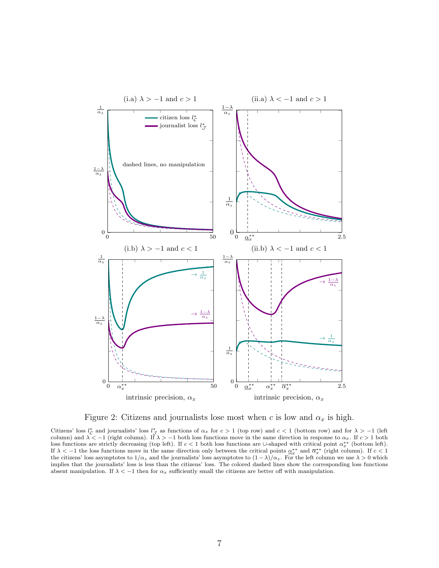<span id="page-7-0"></span>

Figure 2: Citizens and journalists lose most when c is low and  $\alpha_x$  is high.

Citizens' loss  $l^*_{\mathcal{C}}$  and journalists' loss  $l^*_{\mathcal{J}}$  as functions of  $\alpha_x$  for  $c > 1$  (top row) and  $c < 1$  (bottom row) and for  $\lambda > -1$  (left column) and  $\lambda < -1$  (right column). If  $\lambda > -1$  both loss functions move in the same direction in response to  $\alpha_x$ . If  $c > 1$  both loss functions are strictly decreasing (top left). If  $c < 1$  both loss functions are ∪-shaped with critical point  $\alpha_x^{**}$  (bottom left). If  $\lambda < -1$  the loss functions move in the same direction only between the critical points  $\alpha_x^{**}$  and  $\overline{\alpha}_x^{**}$  (right column). If  $c < 1$ the citizens' loss asymptotes to  $1/\alpha_z$  and the journalists' loss asymptotes to  $(1 - \lambda)/\alpha_z$ . For the left column we use  $\lambda > 0$  which implies that the journalists' loss is less than the citizens' loss. The colored dashed lines show the corresponding loss functions absent manipulation. If  $\lambda < -1$  then for  $\alpha_x$  sufficiently small the citizens are better off with manipulation.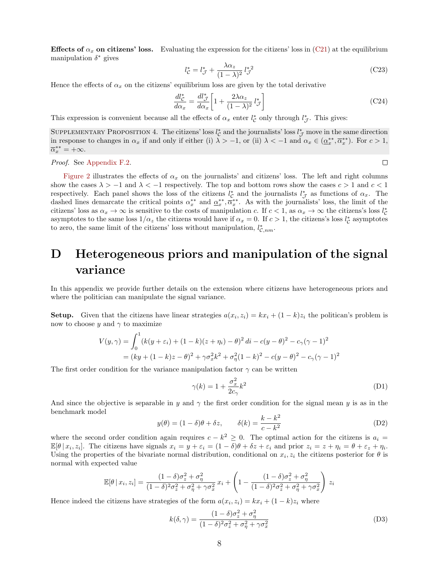Effects of  $\alpha_x$  on citizens' loss. Evaluating the expression for the citizens' loss in [\(C21\)](#page-6-1) at the equilibrium manipulation  $\delta^*$  gives

$$
l_{\mathcal{C}}^* = l_{\mathcal{J}}^* + \frac{\lambda \alpha_z}{(1 - \lambda)^2} l_{\mathcal{J}}^{*2}
$$
 (C23)

Hence the effects of  $\alpha_x$  on the citizens' equilibrium loss are given by the total derivative

<span id="page-8-5"></span>
$$
\frac{dl_{\mathcal{C}}^*}{d\alpha_x} = \frac{dl_{\mathcal{J}}^*}{d\alpha_x} \left[ 1 + \frac{2\lambda\alpha_z}{(1-\lambda)^2} l_{\mathcal{J}}^* \right] \tag{C24}
$$

This expression is convenient because all the effects of  $\alpha_x$  enter  $l_c^*$  only through  $l_{\mathcal{J}}^*$ . This gives:

<span id="page-8-4"></span>SUPPLEMENTARY PROPOSITION 4. The citizens' loss  $l^*_{\mathcal{C}}$  and the journalists' loss  $l^*_{\mathcal{J}}$  move in the same direction in response to changes in  $\alpha_x$  if and only if either (i)  $\lambda > -1$ , or (ii)  $\lambda < -1$  and  $\alpha_x \in (\underline{\alpha}_x^{**}, \overline{\alpha}_x^{**})$ . For  $c > 1$ ,  $\overline{\alpha}_x^{**} = +\infty.$ 

Proof. See [Appendix F.2.](#page-14-0)

[Figure 2](#page-7-0) illustrates the effects of  $\alpha_x$  on the journalists' and citizens' loss. The left and right columns show the cases  $\lambda > -1$  and  $\lambda < -1$  respectively. The top and bottom rows show the cases  $c > 1$  and  $c < 1$ respectively. Each panel shows the loss of the citizens  $l_c^*$  and the journalists  $l_d^*$  as functions of  $\alpha_x$ . The dashed lines demarcate the critical points  $\alpha_x^{**}$  and  $\alpha_x^{**}, \overline{\alpha}_x^{**}$ . As with the journalists' loss, the limit of the citizens' loss as  $\alpha_x \to \infty$  is sensitive to the costs of manipulation c. If  $c < 1$ , as  $\alpha_x \to \infty$  the citizens's loss  $l_c^*$ asymptotes to the same loss  $1/\alpha_z$  the citizens would have if  $\alpha_x = 0$ . If  $c > 1$ , the citizens's loss  $l_c^*$  asymptotes to zero, the same limit of the citizens' loss without manipulation,  $l_{\mathcal{C},nm}^*$ .

# <span id="page-8-0"></span>D Heterogeneous priors and manipulation of the signal variance

In this appendix we provide further details on the extension where citizens have heterogeneous priors and where the politician can manipulate the signal variance.

**Setup.** Given that the citizens have linear strategies  $a(x_i, z_i) = kx_i + (1 - k)z_i$  the politican's problem is now to choose y and  $\gamma$  to maximize

$$
V(y, \gamma) = \int_0^1 (k(y + \varepsilon_i) + (1 - k)(z + \eta_i) - \theta)^2 dt - c(y - \theta)^2 - c_{\gamma}(\gamma - 1)^2
$$
  
=  $(ky + (1 - k)z - \theta)^2 + \gamma \sigma_x^2 k^2 + \sigma_{\eta}^2 (1 - k)^2 - c(y - \theta)^2 - c_{\gamma}(\gamma - 1)^2$ 

The first order condition for the variance manipulation factor  $\gamma$  can be written

<span id="page-8-1"></span>
$$
\gamma(k) = 1 + \frac{\sigma_x^2}{2c_\gamma} k^2 \tag{D1}
$$

And since the objective is separable in y and  $\gamma$  the first order condition for the signal mean y is as in the benchmark model

<span id="page-8-2"></span>
$$
y(\theta) = (1 - \delta)\theta + \delta z, \qquad \delta(k) = \frac{k - k^2}{c - k^2}
$$
 (D2)

where the second order condition again requires  $c - k^2 \geq 0$ . The optimal action for the citizens is  $a_i =$  $\mathbb{E}[\theta | x_i, z_i]$ . The citizens have signals  $x_i = y + \varepsilon_i = (1 - \delta)\theta + \delta z + \varepsilon_i$  and prior  $z_i = z + \eta_i = \theta + \varepsilon_z + \eta_i$ . Using the properties of the bivariate normal distribution, conditional on  $x_i, z_i$  the citizens posterior for  $\theta$  is normal with expected value

$$
\mathbb{E}[\theta \,|\, x_i, z_i] = \frac{(1-\delta)\sigma_z^2 + \sigma_\eta^2}{(1-\delta)^2 \sigma_z^2 + \sigma_\eta^2 + \gamma \sigma_x^2} x_i + \left(1 - \frac{(1-\delta)\sigma_z^2 + \sigma_\eta^2}{(1-\delta)^2 \sigma_z^2 + \sigma_\eta^2 + \gamma \sigma_x^2}\right) z_i
$$

Hence indeed the citizens have strategies of the form  $a(x_i, z_i) = kx_i + (1 - k)z_i$  where

<span id="page-8-3"></span>
$$
k(\delta, \gamma) = \frac{(1 - \delta)\sigma_z^2 + \sigma_\eta^2}{(1 - \delta)^2 \sigma_z^2 + \sigma_\eta^2 + \gamma \sigma_x^2}
$$
(D3)

 $\Box$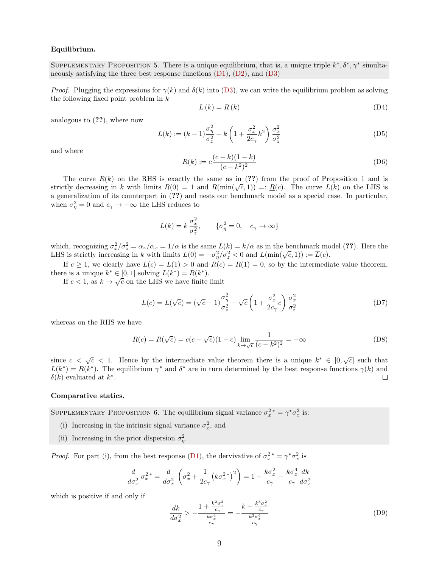#### Equilibrium.

SUPPLEMENTARY PROPOSITION 5. There is a unique equilibrium, that is, a unique triple  $k^*, \delta^*, \gamma^*$  simultaneously satisfying the three best response functions  $(D1)$ ,  $(D2)$ , and  $(D3)$ 

*Proof.* Plugging the expressions for  $\gamma(k)$  and  $\delta(k)$  into [\(D3\)](#page-8-3), we can write the equilibrium problem as solving the following fixed point problem in  $k$ 

<span id="page-9-0"></span>
$$
L(k) = R(k) \tag{D4}
$$

analogous to (??), where now

$$
L(k) := (k-1)\frac{\sigma_{\eta}^2}{\sigma_z^2} + k\left(1 + \frac{\sigma_x^2}{2c_{\gamma}}k^2\right)\frac{\sigma_x^2}{\sigma_z^2}
$$
(D5)

and where

$$
R(k) := c \frac{(c-k)(1-k)}{(c-k^2)^2}
$$
 (D6)

The curve  $R(k)$  on the RHS is exactly the same as in (??) from the proof of Proposition 1 and is strictly decreasing in k with limits  $R(0) = 1$  and  $R(\min(\sqrt{c}, 1)) =: R(c)$ . The curve  $L(k)$  on the LHS is a generalization of its counterpart in (??) and nests our benchmark model as a special case. In particular, when  $\sigma_{\eta}^2 = 0$  and  $c_{\gamma} \to +\infty$  the LHS reduces to

$$
L(k) = k \frac{\sigma_x^2}{\sigma_z^2}, \qquad \{\sigma_\eta^2 = 0, \quad c_\gamma \to \infty\}
$$

which, recognizing  $\sigma_x^2/\sigma_z^2 = \alpha_z/\alpha_x = 1/\alpha$  is the same  $L(k) = k/\alpha$  as in the benchmark model (??). Here the LHS is strictly increasing in k with limits  $L(0) = -\sigma_{\eta}^2/\sigma_z^2 < 0$  and  $L(\min(\sqrt{c}, 1)) := \overline{L}(c)$ .

If  $c \geq 1$ , we clearly have  $\overline{L}(c) = L(1) > 0$  and  $R(c) = R(1) = 0$ , so by the intermediate value theorem, there is a unique  $k^* \in [0, 1]$  solving  $L(k^*) = R(k^*)$ .

If  $c < 1$ , as  $k \to \sqrt{c}$  on the LHS we have finite limit

$$
\overline{L}(c) = L(\sqrt{c}) = (\sqrt{c} - 1)\frac{\sigma_{\eta}^2}{\sigma_z^2} + \sqrt{c}\left(1 + \frac{\sigma_x^2}{2c_{\gamma}}c\right)\frac{\sigma_x^2}{\sigma_z^2}
$$
\n(D7)

whereas on the RHS we have

$$
\underline{R}(c) = R(\sqrt{c}) = c(c - \sqrt{c})(1 - c) \lim_{k \to \sqrt{c}} \frac{1}{(c - k^2)^2} = -\infty
$$
 (D8)

since  $c < \sqrt{c} < 1$ . Hence by the intermediate value theorem there is a unique  $k^* \in [0, \sqrt{c}]$  such that  $L(k^*) = R(k^*)$ . The equilibrium  $\gamma^*$  and  $\delta^*$  are in turn determined by the best response functions  $\gamma(k)$  and  $\Box$  $\delta(k)$  evaluated at  $k^*$ .

#### Comparative statics.

SUPPLEMENTARY PROPOSITION 6. The equilibrium signal variance  $\sigma_x^2$  =  $\gamma^* \sigma_x^2$  is:

- (i) Increasing in the intrinsic signal variance  $\sigma_x^2$ , and
- (ii) Increasing in the prior dispersion  $\sigma_{\eta}^2$ .

*Proof.* For part (i), from the best response [\(D1\)](#page-8-1), the dervivative of  $\sigma_x^2 = \gamma^* \sigma_x^2$  is

$$
\frac{d}{d\sigma_x^2} \sigma_x^{2*} = \frac{d}{d\sigma_x^2} \left( \sigma_x^2 + \frac{1}{2c_\gamma} \left( k \sigma_x^{2*} \right)^2 \right) = 1 + \frac{k \sigma_x^2}{c_\gamma} + \frac{k \sigma_x^4}{c_\gamma} \frac{dk}{d\sigma_x^2}
$$

which is positive if and only if

<span id="page-9-1"></span>
$$
\frac{dk}{d\sigma_x^2} > -\frac{1 + \frac{k^2 \sigma_x^2}{c_\gamma}}{\frac{k \sigma_x^4}{c_\gamma}} = -\frac{k + \frac{k^3 \sigma_x^2}{c_\gamma}}{\frac{k^2 \sigma_x^4}{c_\gamma}}\tag{D9}
$$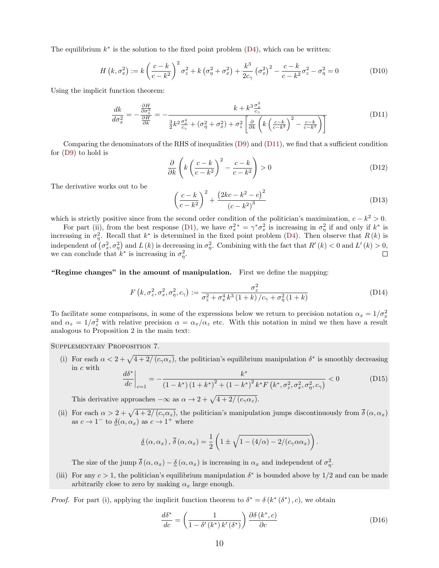The equilibrium  $k^*$  is the solution to the fixed point problem  $(D4)$ , which can be written:

$$
H(k, \sigma_x^2) := k \left( \frac{c - k}{c - k^2} \right)^2 \sigma_z^2 + k \left( \sigma_\eta^2 + \sigma_x^2 \right) + \frac{k^3}{2c_\gamma} \left( \sigma_x^2 \right)^2 - \frac{c - k}{c - k^2} \sigma_z^2 - \sigma_\eta^2 = 0 \tag{D10}
$$

Using the implicit function theorem:

<span id="page-10-0"></span>
$$
\frac{dk}{d\sigma_x^2} = -\frac{\frac{\partial H}{\partial \sigma_x^2}}{\frac{\partial H}{\partial k}} = -\frac{k + k^3 \frac{\sigma_x^2}{c_\gamma}}{\frac{3}{2}k^2 \frac{\sigma_x^4}{c_\gamma} + (\sigma_\eta^2 + \sigma_x^2) + \sigma_z^2 \left[\frac{\partial}{\partial k} \left(k \left(\frac{c - k}{c - k^2}\right)^2 - \frac{c - k}{c - k^2}\right)\right]}
$$
(D11)

Comparing the denominators of the RHS of inequalities [\(D9\)](#page-9-1) and [\(D11\)](#page-10-0), we find that a sufficient condition for [\(D9\)](#page-9-1) to hold is

$$
\frac{\partial}{\partial k} \left( k \left( \frac{c-k}{c-k^2} \right)^2 - \frac{c-k}{c-k^2} \right) > 0 \tag{D12}
$$

The derivative works out to be

$$
\left(\frac{c-k}{c-k^2}\right)^2 + \frac{\left(2kc - k^2 - c\right)^2}{\left(c - k^2\right)^3} \tag{D13}
$$

which is strictly positive since from the second order condition of the politician's maximization,  $c - k^2 > 0$ .

For part (ii), from the best response [\(D1\)](#page-8-1), we have  $\sigma_x^2 = \gamma^* \sigma_x^2$  is increasing in  $\sigma_\eta^2$  if and only if  $k^*$  is increasing in  $\sigma_{\eta}^2$ . Recall that  $k^*$  is determined in the fixed point problem [\(D4\)](#page-9-0). Then observe that  $R(k)$  is independent of  $(\sigma_x^2, \sigma_y^2)$  and L(k) is decreasing in  $\sigma_y^2$ . Combining with the fact that  $R'(k) < 0$  and  $L'(k) > 0$ , we can conclude that  $k^*$  is increasing in  $\sigma_{\eta}^2$ .  $\Box$ 

"Regime changes" in the amount of manipulation. First we define the mapping:

<span id="page-10-2"></span>
$$
F(k, \sigma_z^2, \sigma_x^2, \sigma_\eta^2, c_\gamma) := \frac{\sigma_z^2}{\sigma_z^2 + \sigma_x^4 k^3 (1+k) / c_\gamma + \sigma_\eta^2 (1+k)}
$$
(D14)

To facilitate some comparisons, in some of the expressions below we return to precision notation  $\alpha_x = 1/\sigma_x^2$ and  $\alpha_z = 1/\sigma_z^2$  with relative precision  $\alpha = \alpha_x/\alpha_z$  etc. With this notation in mind we then have a result analogous to Proposition 2 in the main text:

Supplementary Proposition 7.

(i) For each  $\alpha < 2 + \sqrt{4 + 2/(c_{\gamma}\alpha_z)}$ , the politician's equilibrium manipulation  $\delta^*$  is smoothly decreasing in c with  $d\delta^*$  |  $k^*$ 

<span id="page-10-3"></span>
$$
\left. \frac{d\sigma}{dc} \right|_{c=1} = -\frac{\kappa}{\left(1 - k^*\right)\left(1 + k^*\right)^2 + \left(1 - k^*\right)^2 k^* F\left(k^*, \sigma_z^2, \sigma_x^2, \sigma_\eta^2, c_\gamma\right)} < 0 \tag{D15}
$$

This derivative approaches  $-\infty$  as  $\alpha \to 2 + \sqrt{4 + 2/(c_\gamma \alpha_z)}$ .

(ii) For each  $\alpha > 2 + \sqrt{4 + 2/(c_{\gamma}\alpha_z)}$ , the politician's manipulation jumps discontinuously from  $\bar{\delta}(\alpha,\alpha_x)$ as  $c \to 1^-$  to  $\underline{\delta}(\alpha, \alpha_x)$  as  $c \to 1^+$  where

$$
\underline{\delta}(\alpha,\alpha_x), \overline{\delta}(\alpha,\alpha_x) = \frac{1}{2} \left( 1 \pm \sqrt{1 - (4/\alpha) - 2/(c_\gamma \alpha \alpha_x)} \right).
$$

The size of the jump  $\overline{\delta}(\alpha, \alpha_x) - \underline{\delta}(\alpha, \alpha_x)$  is increasing in  $\alpha_x$  and independent of  $\sigma_{\eta}^2$ .

(iii) For any  $c > 1$ , the politician's equilibrium manipulation  $\delta^*$  is bounded above by  $1/2$  and can be made arbitrarily close to zero by making  $\alpha_x$  large enough.

*Proof.* For part (i), applying the implicit function theorem to  $\delta^* = \delta(k^*(\delta^*), c)$ , we obtain

<span id="page-10-1"></span>
$$
\frac{d\delta^*}{dc} = \left(\frac{1}{1 - \delta'(k^*) k'(\delta^*)}\right) \frac{\partial \delta(k^*, c)}{\partial c}
$$
(D16)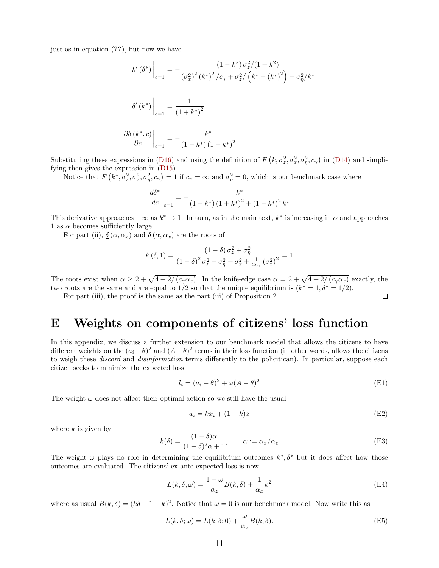just as in equation (??), but now we have

$$
k'\left(\delta^*\right)\Big|_{c=1} = -\frac{\left(1 - k^*\right)\sigma_z^2/(1 + k^2)}{\left(\sigma_x^2\right)^2\left(k^*\right)^2/c_\gamma + \sigma_z^2/\left(k^* + \left(k^*\right)^2\right) + \sigma_\eta^2/k^*}
$$

$$
\delta'\left(k^*\right)\Big|_{c=1} = \frac{1}{\left(1 + k^*\right)^2}
$$

$$
\frac{\partial\delta\left(k^*, c\right)}{\partial c}\Big|_{c=1} = -\frac{k^*}{\left(1 - k^*\right)\left(1 + k^*\right)^2}.
$$

Substituting these expressions in [\(D16\)](#page-10-1) and using the definition of  $F(k, \sigma_z^2, \sigma_x^2, \sigma_y^2, c_\gamma)$  in [\(D14\)](#page-10-2) and simplifying then gives the expression in [\(D15\)](#page-10-3).

Notice that  $F(k^*, \sigma_z^2, \sigma_x^2, \sigma_\eta^2, c_\gamma) = 1$  if  $c_\gamma = \infty$  and  $\sigma_\eta^2 = 0$ , which is our benchmark case where

$$
\left. \frac{d\delta^*}{dc} \right|_{c=1} = -\frac{k^*}{\left(1 - k^*\right)\left(1 + k^*\right)^2 + \left(1 - k^*\right)^2 k^*}
$$

This derivative approaches  $-\infty$  as  $k^* \to 1$ . In turn, as in the main text,  $k^*$  is increasing in  $\alpha$  and approaches 1 as  $\alpha$  becomes sufficiently large.

For part (ii),  $\delta(\alpha, \alpha_x)$  and  $\overline{\delta}(\alpha, \alpha_x)$  are the roots of

$$
k(\delta, 1) = \frac{(1 - \delta)\sigma_z^2 + \sigma_{\eta}^2}{(1 - \delta)^2 \sigma_z^2 + \sigma_{\eta}^2 + \sigma_x^2 + \frac{1}{2c_{\gamma}} (\sigma_x^2)^2} = 1
$$

The roots exist when  $\alpha \geq 2 + \sqrt{4 + 2/(c_{\gamma}\alpha_z)}$ . In the knife-edge case  $\alpha = 2 + \sqrt{4 + 2/(c_{\gamma}\alpha_z)}$  exactly, the two roots are the same and are equal to  $1/2$  so that the unique equilibrium is  $(k^* = 1, \delta^* = 1/2)$ .  $\Box$ 

For part (iii), the proof is the same as the part (iii) of Proposition 2.

## <span id="page-11-0"></span>E Weights on components of citizens' loss function

In this appendix, we discuss a further extension to our benchmark model that allows the citizens to have different weights on the  $(a_i - \theta)^2$  and  $(A - \theta)^2$  terms in their loss function (in other words, allows the citizens to weigh these *discord* and *disinformation* terms differently to the policitican). In particular, suppose each citizen seeks to minimize the expected loss

$$
l_i = (a_i - \theta)^2 + \omega(A - \theta)^2
$$
 (E1)

The weight  $\omega$  does not affect their optimal action so we still have the usual

$$
a_i = kx_i + (1 - k)z \tag{E2}
$$

where  $k$  is given by

$$
k(\delta) = \frac{(1 - \delta)\alpha}{(1 - \delta)^2 \alpha + 1}, \qquad \alpha := \alpha_x/\alpha_z \tag{E3}
$$

The weight  $\omega$  plays no role in determining the equilibrium outcomes  $k^*, \delta^*$  but it does affect how those outcomes are evaluated. The citizens' ex ante expected loss is now

$$
L(k, \delta; \omega) = \frac{1 + \omega}{\alpha_z} B(k, \delta) + \frac{1}{\alpha_x} k^2
$$
 (E4)

where as usual  $B(k,\delta) = (k\delta + 1 - k)^2$ . Notice that  $\omega = 0$  is our benchmark model. Now write this as

$$
L(k, \delta; \omega) = L(k, \delta; 0) + \frac{\omega}{\alpha_z} B(k, \delta).
$$
 (E5)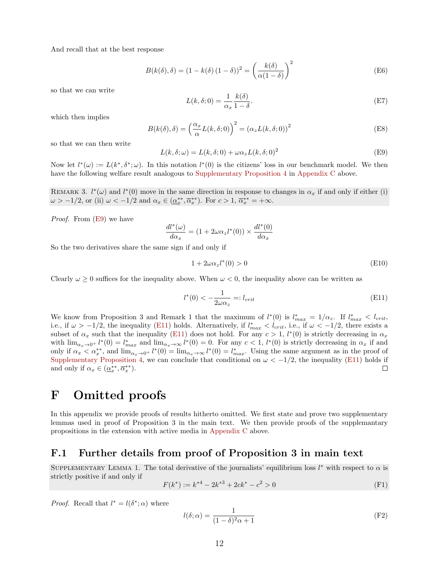And recall that at the best response

$$
B(k(\delta), \delta) = (1 - k(\delta) (1 - \delta))^2 = \left(\frac{k(\delta)}{\alpha(1 - \delta)}\right)^2
$$
 (E6)

so that we can write

$$
L(k, \delta; 0) = \frac{1}{\alpha_x} \frac{k(\delta)}{1 - \delta}.
$$
 (E7)

which then implies

$$
B(k(\delta), \delta) = \left(\frac{\alpha_x}{\alpha} L(k, \delta; 0)\right)^2 = (\alpha_z L(k, \delta; 0))^2
$$
 (E8)

so that we can then write

<span id="page-12-1"></span>
$$
L(k, \delta; \omega) = L(k, \delta; 0) + \omega \alpha_z L(k, \delta; 0)^2
$$
 (E9)

Now let  $l^*(\omega) := L(k^*, \delta^*; \omega)$ . In this notation  $l^*(0)$  is the citizens' loss in our benchmark model. We then have the following welfare result analogous to [Supplementary Proposition 4](#page-8-4) in [Appendix C](#page-1-0) above.

REMARK 3.  $l^*(\omega)$  and  $l^*(0)$  move in the same direction in response to changes in  $\alpha_x$  if and only if either (i)  $\omega > -1/2$ , or (ii)  $\omega < -1/2$  and  $\alpha_x \in (\underline{\alpha}_x^{**}, \overline{\alpha}_x^{**})$ . For  $c > 1$ ,  $\overline{\alpha}_x^{**} = +\infty$ .

Proof. From [\(E9\)](#page-12-1) we have

$$
\frac{dl^*(\omega)}{d\alpha_x} = (1 + 2\omega\alpha_z l^*(0)) \times \frac{dl^*(0)}{d\alpha_x}
$$

So the two derivatives share the same sign if and only if

$$
1 + 2\omega \alpha_z l^*(0) > 0 \tag{E10}
$$

Clearly  $\omega \geq 0$  suffices for the inequality above. When  $\omega < 0$ , the inequality above can be written as

<span id="page-12-2"></span>
$$
l^*(0) < -\frac{1}{2\omega \alpha_z} =: l_{crit}
$$
\n(E11)

We know from Proposition 3 and Remark 1 that the maximum of  $l^*(0)$  is  $l^*_{max} = 1/\alpha_z$ . If  $l^*_{max} < l_{crit}$ , i.e., if  $\omega > -1/2$ , the inequality [\(E11\)](#page-12-2) holds. Alternatively, if  $l_{max}^* < l_{crit}$ , i.e., if  $\omega < -1/2$ , there exists a subset of  $\alpha_x$  such that the inequality [\(E11\)](#page-12-2) does not hold. For any  $c > 1$ ,  $l^*(0)$  is strictly decreasing in  $\alpha_x$ with  $\lim_{\alpha_x \to 0^+} l^*(0) = l^*_{max}$  and  $\lim_{\alpha_x \to \infty} l^*(0) = 0$ . For any  $c < 1$ ,  $l^*(0)$  is strictly decreasing in  $\alpha_x$  if and only if  $\alpha_x < \alpha_x^{**}$ , and  $\lim_{\alpha_x \to 0^+} l^*(0) = \lim_{\alpha_x \to \infty} l^*(0) = l_{max}^*$ . Using the same argument as in the proof of [Supplementary Proposition 4,](#page-8-4) we can conclude that conditional on  $\omega < -1/2$ , the inequality [\(E11\)](#page-12-2) holds if and only if  $\alpha_x \in (\alpha^{**}, \overline{\alpha}^{**})$ . and only if  $\alpha_x \in (\underline{\alpha}_x^{**}, \overline{\alpha}_x^{**}).$ 

## <span id="page-12-0"></span>F Omitted proofs

In this appendix we provide proofs of results hitherto omitted. We first state and prove two supplementary lemmas used in proof of Proposition 3 in the main text. We then provide proofs of the supplemantary propositions in the extension with active media in [Appendix C](#page-1-0) above.

### F.1 Further details from proof of Proposition 3 in main text

SUPPLEMENTARY LEMMA 1. The total derivative of the journalists' equilibrium loss  $l^*$  with respect to  $\alpha$  is strictly positive if and only if

$$
F(k^*) := k^{*4} - 2k^{*3} + 2ck^* - c^2 > 0
$$
 (F1)

*Proof.* Recall that  $l^* = l(\delta^*; \alpha)$  where

$$
l(\delta; \alpha) = \frac{1}{(1 - \delta)^2 \alpha + 1}
$$
 (F2)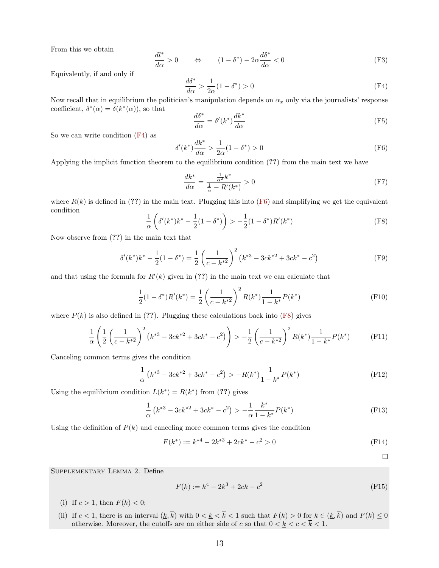From this we obtain

$$
\frac{dl^*}{d\alpha} > 0 \qquad \Leftrightarrow \qquad (1 - \delta^*) - 2\alpha \frac{d\delta^*}{d\alpha} < 0 \tag{F3}
$$

Equivalently, if and only if

<span id="page-13-0"></span>
$$
\frac{d\delta^*}{d\alpha} > \frac{1}{2\alpha} (1 - \delta^*) > 0 \tag{F4}
$$

Now recall that in equilibrium the politician's manipulation depends on  $\alpha_x$  only via the journalists' response coefficient,  $\delta^*(\alpha) = \delta(k^*(\alpha))$ , so that

$$
\frac{d\delta^*}{d\alpha} = \delta'(k^*) \frac{dk^*}{d\alpha} \tag{F5}
$$

So we can write condition [\(F4\)](#page-13-0) as

<span id="page-13-1"></span>
$$
\delta'(k^*)\frac{dk^*}{d\alpha} > \frac{1}{2\alpha}(1-\delta^*) > 0\tag{F6}
$$

Applying the implicit function theorem to the equilibrium condition (??) from the main text we have

$$
\frac{dk^*}{d\alpha} = \frac{\frac{1}{\alpha^2}k^*}{\frac{1}{\alpha} - R'(k^*)} > 0
$$
\n(F7)

where  $R(k)$  is defined in (??) in the main text. Plugging this into [\(F6\)](#page-13-1) and simplifying we get the equivalent condition

<span id="page-13-2"></span>
$$
\frac{1}{\alpha} \left( \delta'(k^*) k^* - \frac{1}{2} (1 - \delta^*) \right) > -\frac{1}{2} (1 - \delta^*) R'(k^*)
$$
\n(F8)

Now observe from (??) in the main text that

$$
\delta'(k^*)k^* - \frac{1}{2}(1 - \delta^*) = \frac{1}{2}\left(\frac{1}{c - k^{*2}}\right)^2 \left(k^{*3} - 3ck^{*2} + 3ck^* - c^2\right)
$$
 (F9)

and that using the formula for  $R'(k)$  given in (??) in the main text we can calculate that

$$
\frac{1}{2}(1 - \delta^*)R'(k^*) = \frac{1}{2}\left(\frac{1}{c - k^{*2}}\right)^2 R(k^*)\frac{1}{1 - k^*}P(k^*)
$$
(F10)

where  $P(k)$  is also defined in (??). Plugging these calculations back into [\(F8\)](#page-13-2) gives

$$
\frac{1}{\alpha} \left( \frac{1}{2} \left( \frac{1}{c - k^{*2}} \right)^2 \left( k^{*3} - 3ck^{*2} + 3ck^* - c^2 \right) \right) > -\frac{1}{2} \left( \frac{1}{c - k^{*2}} \right)^2 R(k^*) \frac{1}{1 - k^*} P(k^*) \tag{F11}
$$

Canceling common terms gives the condition

$$
\frac{1}{\alpha} \left( k^{*3} - 3ck^{*2} + 3ck^* - c^2 \right) > -R(k^*) \frac{1}{1 - k^*} P(k^*) \tag{F12}
$$

Using the equilibrium condition  $L(k^*) = R(k^*)$  from (??) gives

$$
\frac{1}{\alpha} \left( k^{*3} - 3ck^{*2} + 3ck^* - c^2 \right) > -\frac{1}{\alpha} \frac{k^*}{1 - k^*} P(k^*)
$$
\n(F13)

Using the definition of  $P(k)$  and canceling more common terms gives the condition

$$
F(k^*) := k^{*4} - 2k^{*3} + 2ck^* - c^2 > 0
$$
 (F14)

 $\Box$ 

Supplementary Lemma 2. Define

$$
F(k) := k^4 - 2k^3 + 2ck - c^2
$$
 (F15)

- (i) If  $c > 1$ , then  $F(k) < 0$ ;
- (ii) If  $c < 1$ , there is an interval  $(\underline{k}, \overline{k})$  with  $0 < \underline{k} < \overline{k} < 1$  such that  $F(k) > 0$  for  $k \in (\underline{k}, \overline{k})$  and  $F(k) \leq 0$ otherwise. Moreover, the cutoffs are on either side of c so that  $0 < \underline{k} < c < \overline{k} < 1$ .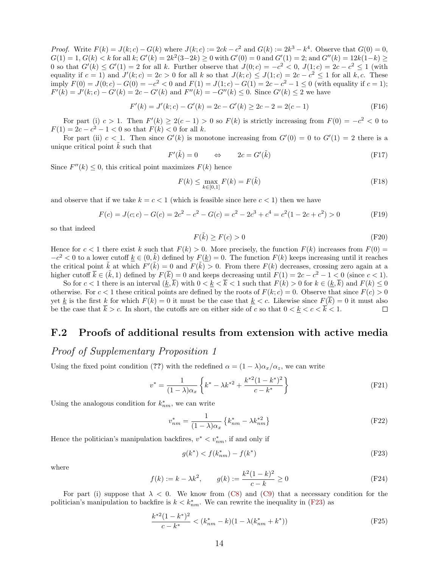*Proof.* Write  $F(k) = J(k; c) - G(k)$  where  $J(k; c) := 2ck - c^2$  and  $G(k) := 2k^3 - k^4$ . Observe that  $G(0) = 0$ ,  $G(1) = 1, G(k) < k$  for all k;  $G'(k) = 2k^2(3-2k) \ge 0$  with  $G'(0) = 0$  and  $G'(1) = 2$ ; and  $G''(k) = 12k(1-k) \ge 0$ 0 so that  $G'(k) \leq G'(1) = 2$  for all k. Further observe that  $J(0; c) = -c^2 < 0$ ,  $J(1; c) = 2c - c^2 \leq 1$  (with equality if  $c = 1$ ) and  $J'(k; c) = 2c > 0$  for all k so that  $J(k; c) \leq J(1; c) = 2c - c^2 \leq 1$  for all k, c. These imply  $F(0) = J(0; c) - G(0) = -c^2 < 0$  and  $F(1) = J(1; c) - G(1) = 2c - c^2 - 1 \le 0$  (with equality if  $c = 1$ );  $F'(k) = J'(k; c) - G'(k) = 2c - G'(k)$  and  $F''(k) = -G''(k) \le 0$ . Since  $G'(k) \le 2$  we have

$$
F'(k) = J'(k;c) - G'(k) = 2c - G'(k) \ge 2c - 2 = 2(c - 1)
$$
 (F16)

For part (i)  $c > 1$ . Then  $F'(k) \ge 2(c-1) > 0$  so  $F(k)$  is strictly increasing from  $F(0) = -c^2 < 0$  to  $F(1) = 2c - c^2 - 1 < 0$  so that  $F(k) < 0$  for all k.

For part (ii)  $c < 1$ . Then since  $G'(k)$  is monotone increasing from  $G'(0) = 0$  to  $G'(1) = 2$  there is a unique critical point  $\tilde{k}$  such that

$$
F'(\tilde{k}) = 0 \qquad \Leftrightarrow \qquad 2c = G'(\tilde{k}) \tag{F17}
$$

Since  $F''(k) \leq 0$ , this critical point maximizes  $F(k)$  hence

$$
F(k) \le \max_{k \in [0,1]} F(k) = F(\tilde{k})
$$
\n<sup>(F18)</sup>

and observe that if we take  $k = c < 1$  (which is feasible since here  $c < 1$ ) then we have

$$
F(c) = J(c; c) - G(c) = 2c2 - c2 - G(c) = c2 - 2c3 + c4 = c2(1 - 2c + c2) > 0
$$
 (F19)

so that indeed

$$
F(\tilde{k}) \ge F(c) > 0
$$
 (F20)

Hence for  $c < 1$  there exist k such that  $F(k) > 0$ . More precisely, the function  $F(k)$  increases from  $F(0) =$  $-c^2 < 0$  to a lower cutoff  $\underline{k} \in (0, \tilde{k})$  defined by  $F(\underline{k}) = 0$ . The function  $F(k)$  keeps increasing until it reaches the critical point  $\tilde{k}$  at which  $F'(\tilde{k}) = 0$  and  $F(\tilde{k}) > 0$ . From there  $F(k)$  decreases, crossing zero again at a higher cutoff  $\overline{k} \in (\tilde{k}, 1)$  defined by  $F(\overline{k}) = 0$  and keeps decreasing until  $F(1) = 2c - c^2 - 1 < 0$  (since  $c < 1$ ).

So for  $c < 1$  there is an interval  $(k, \overline{k})$  with  $0 < k < \overline{k} < 1$  such that  $F(k) > 0$  for  $k \in (k, \overline{k})$  and  $F(k) \le 0$ otherwise. For  $c < 1$  these critical points are defined by the roots of  $F(k; c) = 0$ . Observe that since  $F(c) > 0$ yet k is the first k for which  $F(k) = 0$  it must be the case that  $k < c$ . Likewise since  $F(\overline{k}) = 0$  it must also be the case that  $\overline{k} > c$ . In short, the cutoffs are on either side of c so that  $0 < \underline{k} < c < \overline{k} < 1$ .  $\Box$ 

### <span id="page-14-0"></span>F.2 Proofs of additional results from extension with active media

### Proof of Supplementary Proposition 1

Using the fixed point condition (??) with the redefined  $\alpha = (1 - \lambda)\alpha_x/\alpha_z$ , we can write

$$
v^* = \frac{1}{(1 - \lambda)\alpha_x} \left\{ k^* - \lambda k^{*2} + \frac{k^{*2}(1 - k^*)^2}{c - k^*} \right\}
$$
(F21)

Using the analogous condition for  $k_{nm}^*$ , we can write

$$
v_{nm}^* = \frac{1}{(1 - \lambda)\alpha_x} \left\{ k_{nm}^* - \lambda k_{nm}^{*2} \right\}
$$
 (F22)

Hence the politician's manipulation backfires,  $v^* < v_{nm}^*$ , if and only if

<span id="page-14-1"></span>
$$
g(k^*) < f(k^*_{nm}) - f(k^*) \tag{F23}
$$

where

$$
f(k) := k - \lambda k^2, \qquad g(k) := \frac{k^2 (1 - k)^2}{c - k} \ge 0
$$
 (F24)

For part (i) suppose that  $\lambda < 0$ . We know from [\(C8\)](#page-2-0) and [\(C9\)](#page-2-2) that a necessary condition for the politician's manipulation to backfire is  $k < k_{nm}^*$ . We can rewrite the inequality in [\(F23\)](#page-14-1) as

<span id="page-14-2"></span>
$$
\frac{k^{*2}(1-k^{*})^2}{c-k^{*}} < (k_{nm}^{*}-k)(1-\lambda(k_{nm}^{*}+k^{*}))\tag{F25}
$$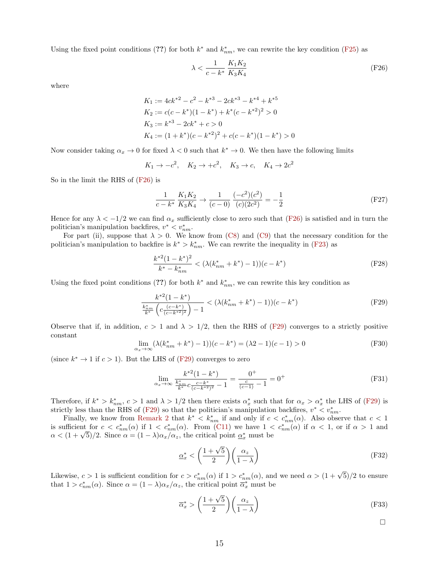Using the fixed point conditions (??) for both  $k^*$  and  $k^*_{nm}$ , we can rewrite the key condition [\(F25\)](#page-14-2) as

<span id="page-15-0"></span>
$$
\lambda < \frac{1}{c - k^*} \frac{K_1 K_2}{K_3 K_4} \tag{F26}
$$

where

$$
K_1 := 4ck^{*2} - c^2 - k^{*3} - 2ck^{*3} - k^{*4} + k^{*5}
$$
  
\n
$$
K_2 := c(c - k^*)(1 - k^*) + k^*(c - k^{*2})^2 > 0
$$
  
\n
$$
K_3 := k^{*3} - 2ck^* + c > 0
$$
  
\n
$$
K_4 := (1 + k^*)(c - k^{*2})^2 + c(c - k^*)(1 - k^*) > 0
$$

Now consider taking  $\alpha_x \to 0$  for fixed  $\lambda < 0$  such that  $k^* \to 0$ . We then have the following limits

$$
K_1 \to -c^2, \quad K_2 \to +c^2, \quad K_3 \to c, \quad K_4 \to 2c^2
$$

So in the limit the RHS of [\(F26\)](#page-15-0) is

$$
\frac{1}{c - k^*} \frac{K_1 K_2}{K_3 K_4} \to \frac{1}{(c - 0)} \frac{(-c^2)(c^2)}{(c)(2c^2)} = -\frac{1}{2}
$$
 (F27)

Hence for any  $\lambda < -1/2$  we can find  $\alpha_x$  sufficiently close to zero such that [\(F26\)](#page-15-0) is satisfied and in turn the politician's manipulation backfires,  $v^* < v_{nm}^*$ .

For part (ii), suppose that  $\lambda > 0$ . We know from [\(C8\)](#page-2-0) and [\(C9\)](#page-2-2) that the necessary condition for the politician's manipulation to backfire is  $k^* > k^*_{nm}$ . We can rewrite the inequality in [\(F23\)](#page-14-1) as

$$
\frac{k^{*2}(1-k^{*})^{2}}{k^{*}-k^{*}_{nm}} < (\lambda(k^{*}_{nm}+k^{*})-1))(c-k^{*})
$$
\n(F28)

Using the fixed point conditions (??) for both  $k^*$  and  $k^*_{nm}$ , we can rewrite this key condition as

<span id="page-15-1"></span>
$$
\frac{k^{*2}(1-k^{*})}{\frac{k_{nm}^{*}}{k^{*}}\left(c\frac{(c-k^{*})}{(c-k^{*2})^{2}}\right)-1} < (\lambda(k_{nm}^{*}+k^{*})-1))(c-k^{*})
$$
\n(F29)

Observe that if, in addition,  $c > 1$  and  $\lambda > 1/2$ , then the RHS of [\(F29\)](#page-15-1) converges to a strictly positive constant

$$
\lim_{\alpha_x \to \infty} (\lambda(k_{nm}^* + k^*) - 1)) (c - k^*) = (\lambda 2 - 1)(c - 1) > 0
$$
 (F30)

(since  $k^* \to 1$  if  $c > 1$ ). But the LHS of [\(F29\)](#page-15-1) converges to zero

$$
\lim_{\alpha_x \to \infty} \frac{k^{*2} (1 - k^*)}{\frac{k_{nm}^*}{k^*} c \frac{c - k^*}{(c - k^{*2})^2} - 1} = \frac{0^+}{\frac{c}{(c - 1)} - 1} = 0^+ \tag{F31}
$$

Therefore, if  $k^* > k^*_{nm}$ ,  $c > 1$  and  $\lambda > 1/2$  then there exists  $\alpha_x^*$  such that for  $\alpha_x > \alpha_x^*$  the LHS of [\(F29\)](#page-15-1) is strictly less than the RHS of [\(F29\)](#page-15-1) so that the politician's manipulation backfires,  $v^* < v_{nm}^*$ .

Finally, we know from [Remark 2](#page-2-3) that  $k^* < k^*_{nm}$  if and only if  $c < c^*_{nm}(\alpha)$ . Also observe that  $c < 1$ is sufficient for  $c < c_{nm}^*(\alpha)$  if  $1 < c_{nm}^*(\alpha)$ . From [\(C11\)](#page-2-4) we have  $1 < c_{nm}^*(\alpha)$  if  $\alpha < 1$ , or if  $\alpha > 1$  and  $\alpha < (1 + \sqrt{5})/2$ . Since  $\alpha = (1 - \lambda)\alpha_x/\alpha_z$ , the critical point  $\underline{\alpha}_x^*$  must be

$$
\underline{\alpha}_x^* < \left(\frac{1+\sqrt{5}}{2}\right) \left(\frac{\alpha_z}{1-\lambda}\right) \tag{F32}
$$

Likewise,  $c > 1$  is sufficient condition for  $c > c_{nm}^*(\alpha)$  if  $1 > c_{nm}^*(\alpha)$ , and we need  $\alpha > (1 + \sqrt{5})/2$  to ensure that  $1 > c_{nm}^*(\alpha)$ . Since  $\alpha = (1 - \lambda)\alpha_x/\alpha_z$ , the critical point  $\overline{\alpha}_x^*$  must be

$$
\overline{\alpha}_x^* > \left(\frac{1+\sqrt{5}}{2}\right) \left(\frac{\alpha_z}{1-\lambda}\right) \tag{F33}
$$

 $\Box$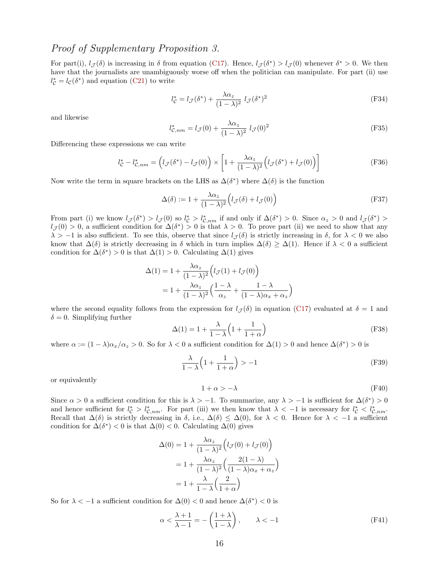## Proof of Supplementary Proposition 3.

For part(i),  $l_{\mathcal{J}}(\delta)$  is increasing in  $\delta$  from equation [\(C17\)](#page-5-3). Hence,  $l_{\mathcal{J}}(\delta^*) > l_{\mathcal{J}}(0)$  whenever  $\delta^* > 0$ . We then have that the journalists are unambiguously worse off when the politician can manipulate. For part (ii) use  $l_{\mathcal{C}}^{*} = l_{\mathcal{C}}(\delta^{*})$  and equation [\(C21\)](#page-6-1) to write

$$
l_{\mathcal{C}}^* = l_{\mathcal{J}}(\delta^*) + \frac{\lambda \alpha_z}{(1 - \lambda)^2} l_{\mathcal{J}}(\delta^*)^2
$$
 (F34)

and likewise

$$
l_{\mathcal{C},nm}^* = l_{\mathcal{J}}(0) + \frac{\lambda \alpha_z}{(1-\lambda)^2} l_{\mathcal{J}}(0)^2
$$
 (F35)

Differencing these expressions we can write

$$
l_{\mathcal{C}}^* - l_{\mathcal{C},nm}^* = \left( l_{\mathcal{J}}(\delta^*) - l_{\mathcal{J}}(0) \right) \times \left[ 1 + \frac{\lambda \alpha_z}{(1 - \lambda)^2} \left( l_{\mathcal{J}}(\delta^*) + l_{\mathcal{J}}(0) \right) \right]
$$
(F36)

Now write the term in square brackets on the LHS as  $\Delta(\delta^*)$  where  $\Delta(\delta)$  is the function

$$
\Delta(\delta) := 1 + \frac{\lambda \alpha_z}{(1 - \lambda)^2} \Big( l_{\mathcal{J}}(\delta) + l_{\mathcal{J}}(0) \Big) \tag{F37}
$$

From part (i) we know  $l_{\mathcal{J}}(\delta^*) > l_{\mathcal{J}}(0)$  so  $l_{\mathcal{C}}^* > l_{\mathcal{C},nm}^*$  if and only if  $\Delta(\delta^*) > 0$ . Since  $\alpha_z > 0$  and  $l_{\mathcal{J}}(\delta^*) >$  $l_{\mathcal{J}}(0) > 0$ , a sufficient condition for  $\Delta(\delta^*) > 0$  is that  $\lambda > 0$ . To prove part (ii) we need to show that any  $\lambda > -1$  is also sufficient. To see this, observe that since  $l_{\mathcal{J}}(\delta)$  is strictly increasing in  $\delta$ , for  $\lambda < 0$  we also know that  $\Delta(\delta)$  is strictly decreasing in  $\delta$  which in turn implies  $\Delta(\delta) \geq \Delta(1)$ . Hence if  $\lambda < 0$  a sufficient condition for  $\Delta(\delta^*) > 0$  is that  $\Delta(1) > 0$ . Calculating  $\Delta(1)$  gives

$$
\Delta(1) = 1 + \frac{\lambda \alpha_z}{(1 - \lambda)^2} \left( l_{\mathcal{J}}(1) + l_{\mathcal{J}}(0) \right)
$$

$$
= 1 + \frac{\lambda \alpha_z}{(1 - \lambda)^2} \left( \frac{1 - \lambda}{\alpha_z} + \frac{1 - \lambda}{(1 - \lambda)\alpha_x + \alpha_z} \right)
$$

where the second equality follows from the expression for  $l_{\mathcal{J}}(\delta)$  in equation [\(C17\)](#page-5-3) evaluated at  $\delta = 1$  and  $\delta = 0$ . Simplifying further

$$
\Delta(1) = 1 + \frac{\lambda}{1 - \lambda} \left( 1 + \frac{1}{1 + \alpha} \right) \tag{F38}
$$

where  $\alpha := (1 - \lambda)\alpha_x/\alpha_z > 0$ . So for  $\lambda < 0$  a sufficient condition for  $\Delta(1) > 0$  and hence  $\Delta(\delta^*) > 0$  is

$$
\frac{\lambda}{1-\lambda} \left( 1 + \frac{1}{1+\alpha} \right) > -1 \tag{F39}
$$

or equivalently

$$
1 + \alpha > -\lambda \tag{F40}
$$

Since  $\alpha > 0$  a sufficient condition for this is  $\lambda > -1$ . To summarize, any  $\lambda > -1$  is sufficient for  $\Delta(\delta^*) > 0$ and hence sufficient for  $l_c^* > l_{c,nm}^*$ . For part (iii) we then know that  $\lambda < -1$  is necessary for  $l_c^* < l_{c,nm}^*$ . Recall that  $\Delta(\delta)$  is strictly decreasing in  $\delta$ , i.e.,  $\Delta(\delta) \leq \Delta(0)$ , for  $\lambda < 0$ . Hence for  $\lambda < -1$  a sufficient condition for  $\Delta(\delta^*)$  < 0 is that  $\Delta(0)$  < 0. Calculating  $\Delta(0)$  gives

$$
\Delta(0) = 1 + \frac{\lambda \alpha_z}{(1 - \lambda)^2} \left( l_{\mathcal{J}}(0) + l_{\mathcal{J}}(0) \right)
$$

$$
= 1 + \frac{\lambda \alpha_z}{(1 - \lambda)^2} \left( \frac{2(1 - \lambda)}{(1 - \lambda)\alpha_x + \alpha_z} \right)
$$

$$
= 1 + \frac{\lambda}{1 - \lambda} \left( \frac{2}{1 + \alpha} \right)
$$

So for  $\lambda < -1$  a sufficient condition for  $\Delta(0) < 0$  and hence  $\Delta(\delta^*) < 0$  is

$$
\alpha < \frac{\lambda + 1}{\lambda - 1} = -\left(\frac{1 + \lambda}{1 - \lambda}\right), \qquad \lambda < -1 \tag{F41}
$$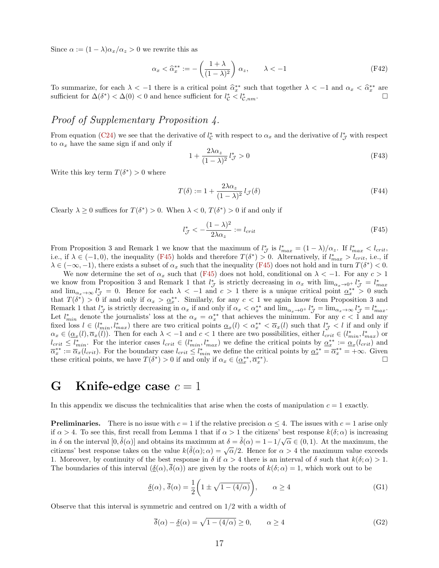Since  $\alpha := (1 - \lambda)\alpha_x/\alpha_z > 0$  we rewrite this as

$$
\alpha_x < \hat{\alpha}_x^{**} := -\left(\frac{1+\lambda}{(1-\lambda)^2}\right) \alpha_z, \qquad \lambda < -1 \tag{F42}
$$

To summarize, for each  $\lambda < -1$  there is a critical point  $\hat{\alpha}_x^{**}$  such that together  $\lambda < -1$  and  $\alpha_x < \hat{\alpha}_x^{**}$  are enfinient for  $\Lambda(\delta^*) < \Lambda(0) < 0$  and hence sufficient for  $\delta^* > \delta^*$ sufficient for  $\Delta(\delta^*) < \Delta(0) < 0$  and hence sufficient for  $l_c^* < l_c^*$  $\mathcal{C},nm$ .

## Proof of Supplementary Proposition 4.

From equation [\(C24\)](#page-8-5) we see that the derivative of  $l^*_{\mathcal{C}}$  with respect to  $\alpha_x$  and the derivative of  $l^*_{\mathcal{J}}$  with respect to  $\alpha_x$  have the same sign if and only if

$$
1 + \frac{2\lambda\alpha_z}{(1-\lambda)^2} l^*_{\mathcal{J}} > 0 \tag{F43}
$$

Write this key term  $T(\delta^*) > 0$  where

$$
T(\delta) := 1 + \frac{2\lambda\alpha_z}{(1-\lambda)^2} l_{\mathcal{J}}(\delta)
$$
 (F44)

Clearly  $\lambda \geq 0$  suffices for  $T(\delta^*) > 0$ . When  $\lambda < 0$ ,  $T(\delta^*) > 0$  if and only if

<span id="page-17-1"></span>
$$
l_{\mathcal{J}}^* < -\frac{(1-\lambda)^2}{2\lambda \alpha_z} := l_{crit} \tag{F45}
$$

From Proposition 3 and Remark 1 we know that the maximum of  $l_{\mathcal{J}}^*$  is  $l_{max}^* = (1 - \lambda)/\alpha_z$ . If  $l_{max}^* < l_{crit}$ , i.e., if  $\lambda \in (-1,0)$ , the inequality [\(F45\)](#page-17-1) holds and therefore  $T(\delta^*) > 0$ . Alternatively, if  $l_{max}^* > l_{crit}$ , i.e., if  $\lambda \in (-\infty, -1)$ , there exists a subset of  $\alpha_x$  such that the inequality [\(F45\)](#page-17-1) does not hold and in turn  $T(\delta^*) < 0$ .

We now determine the set of  $\alpha_x$  such that [\(F45\)](#page-17-1) does not hold, conditional on  $\lambda < -1$ . For any  $c > 1$ we know from Proposition 3 and Remark 1 that  $l_{\mathcal{J}}^*$  is strictly decreasing in  $\alpha_x$  with  $\lim_{\alpha_x \to 0^+} l_{\mathcal{J}}^* = l_{max}^*$ and  $\lim_{\alpha_x \to \infty} l^*_\mathcal{J} = 0$ . Hence for each  $\lambda < -1$  and  $c > 1$  there is a unique critical point  $\alpha_x^{**} > 0$  such that  $T(\delta^*) > 0$  if and only if  $\alpha_x > \underline{\alpha_x^{**}}$ . Similarly, for any  $c < 1$  we again know from Proposition 3 and Remark 1 that  $l^*_{\mathcal{J}}$  is strictly decreasing in  $\alpha_x$  if and only if  $\alpha_x < \alpha_x^{**}$  and  $\lim_{\alpha_x \to 0^+} l^*_{\mathcal{J}} = \lim_{\alpha_x \to \infty} l^*_{\mathcal{J}} = l^*_{max}$ . Let  $l_{min}^*$  denote the journalists' loss at the  $\alpha_x = \alpha_x^{**}$  that achieves the minimum. For any  $c < 1$  and any fixed loss  $l \in (l_{min}^*, l_{max}^*)$  there are two critical points  $\alpha_x(l) < \alpha_x^{**} < \overline{\alpha}_x(l)$  such that  $l_{\mathcal{J}}^* < l$  if and only if  $\alpha_x \in (\underline{\alpha}_x(l), \overline{\alpha}_x(l))$ . Then for each  $\lambda < -1$  and  $c < 1$  there are two possibilities, either  $l_{crit} \in (l_{min}^*, l_{max}^*)$  or  $l_{crit} \leq l_{min}^*$ . For the interior cases  $l_{crit} \in (l_{min}^*, l_{max}^*)$  we define the critical points by  $\underline{\alpha}_x^{**} := \underline{\alpha}_x(l_{crit})$  and  $\overline{\alpha}_x^{**} := \overline{\alpha}_x(l_{crit})$ . For the boundary case  $l_{crit} \leq l_{min}^*$  we define the critical points by  $\underline{\alpha}_x^{**} = \overline{\alpha}_x^{**} = +\infty$ . Given these critical points, we have  $T(\delta^*) > 0$  if and only if  $\alpha_x \in (\underline{\alpha}_x^{**}, \overline{\alpha}_x^{**})$ ).

## <span id="page-17-0"></span>G Knife-edge case  $c = 1$

In this appendix we discuss the technicalities that arise when the costs of manipulation  $c = 1$  exactly.

**Preliminaries.** There is no issue with  $c = 1$  if the relative precision  $\alpha \leq 4$ . The issues with  $c = 1$  arise only if  $\alpha > 4$ . To see this, first recall from Lemma 1 that if  $\alpha > 1$  the citizens' best response  $k(\delta; \alpha)$  is increasing in  $\delta$  on the interval  $[0, \hat{\delta}(\alpha)]$  and obtains its maximum at  $\delta = \hat{\delta}(\alpha) = 1 - 1/\sqrt{\alpha} \in (0, 1)$ . At the maximum, the citizens' best response takes on the value  $k(\hat{\delta}(\alpha); \alpha) = \sqrt{\alpha}/2$ . Hence for  $\alpha > 4$  the maximum value exceeds 1. Moreover, by continuity of the best response in  $\delta$  if  $\alpha > 4$  there is an interval of  $\delta$  such that  $k(\delta; \alpha) > 1$ . The boundaries of this interval  $(\delta(\alpha), \delta(\alpha))$  are given by the roots of  $k(\delta; \alpha) = 1$ , which work out to be

$$
\underline{\delta}(\alpha), \overline{\delta}(\alpha) = \frac{1}{2} \left( 1 \pm \sqrt{1 - (4/\alpha)} \right), \qquad \alpha \ge 4 \tag{G1}
$$

Observe that this interval is symmetric and centred on  $1/2$  with a width of

$$
\overline{\delta}(\alpha) - \underline{\delta}(\alpha) = \sqrt{1 - (4/\alpha)} \ge 0, \qquad \alpha \ge 4
$$
 (G2)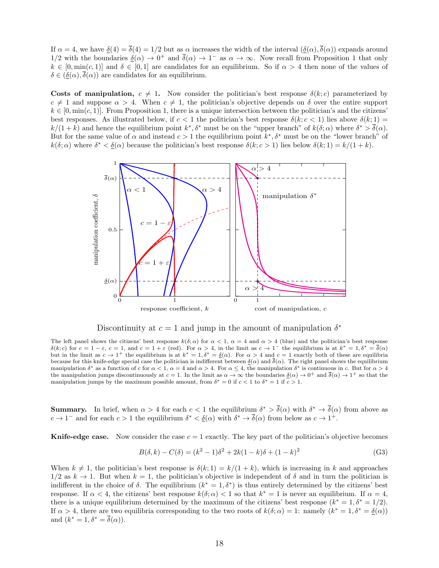If  $\alpha = 4$ , we have  $\delta(4) = \overline{\delta}(4) = 1/2$  but as  $\alpha$  increases the width of the interval  $(\delta(\alpha), \overline{\delta}(\alpha))$  expands around 1/2 with the boundaries  $\underline{\delta}(\alpha) \to 0^+$  and  $\overline{\delta}(\alpha) \to 1^-$  as  $\alpha \to \infty$ . Now recall from Proposition 1 that only  $k \in [0, \min(c, 1)]$  and  $\delta \in [0, 1]$  are candidates for an equilibrium. So if  $\alpha > 4$  then none of the values of  $\delta \in (\underline{\delta}(\alpha), \overline{\delta}(\alpha))$  are candidates for an equilibrium.

Costs of manipulation,  $c \neq 1$ . Now consider the politician's best response  $\delta(k; c)$  parameterized by  $c \neq 1$  and suppose  $\alpha > 4$ . When  $c \neq 1$ , the politician's objective depends on  $\delta$  over the entire support  $k \in [0, \min(c, 1)]$ . From Proposition 1, there is a unique intersection between the politician's and the citizens' best responses. As illustrated below, if  $c < 1$  the politician's best response  $\delta(k; c < 1)$  lies above  $\delta(k; 1)$  =  $k/(1+k)$  and hence the equilibrium point  $k^*, \delta^*$  must be on the "upper branch" of  $k(\delta; \alpha)$  where  $\delta^* > \delta(\alpha)$ . But for the same value of  $\alpha$  and instead  $c > 1$  the equilibrium point  $k^*, \delta^*$  must be on the "lower branch" of  $k(\delta;\alpha)$  where  $\delta^* < \underline{\delta}(\alpha)$  because the politician's best response  $\delta(k;c>1)$  lies below  $\delta(k;1) = k/(1+k)$ .



Discontinuity at  $c = 1$  and jump in the amount of manipulation  $\delta^*$ 

The left panel shows the citizens' best response  $k(\delta, \alpha)$  for  $\alpha < 1$ ,  $\alpha = 4$  and  $\alpha > 4$  (blue) and the politician's best response  $\delta(k; c)$  for  $c = 1 - \varepsilon$ ,  $c = 1$ , and  $c = 1 + \varepsilon$  (red). For  $\alpha > 4$ , in the limit as  $c \to 1^-$  the equilibrium is at  $k^* = 1, \delta^* = \delta(\alpha)$ but in the limit as  $c \to 1^+$  the equilibrium is at  $k^* = 1, \delta^* = \underline{\delta}(\alpha)$ . For  $\alpha > 4$  and  $c = 1$  exactly both of these are equilibria because for this knife-edge special case the politician is indifferent between  $\delta(\alpha)$  and  $\overline{\delta}(\alpha)$ . The right panel shows the equilibrium manipulation  $\delta^*$  as a function of c for  $\alpha < 1$ ,  $\alpha = 4$  and  $\alpha > 4$ . For  $\alpha \le 4$ , the manipulation  $\delta^*$  is continuous in c. But for  $\alpha > 4$ the manipulation jumps discontinuously at  $c = 1$ . In the limit as  $\alpha \to \infty$  the boundaries  $\underline{\delta}(\alpha) \to 0^+$  and  $\overline{\delta}(\alpha) \to 1^+$  so that the manipulation jumps by the maximum possible amount, from  $\delta^* = 0$  if  $c < 1$  to  $\delta^* = 1$  if  $c > 1$ .

**Summary.** In brief, when  $\alpha > 4$  for each  $c < 1$  the equilibrium  $\delta^* > \delta(\alpha)$  with  $\delta^* \to \delta(\alpha)$  from above as  $c \to 1^-$  and for each  $c > 1$  the equilibrium  $\delta^* < \underline{\delta}(\alpha)$  with  $\delta^* \to \overline{\delta}(\alpha)$  from below as  $c \to 1^+$ .

**Knife-edge case.** Now consider the case  $c = 1$  exactly. The key part of the politician's objective becomes

$$
B(\delta, k) - C(\delta) = (k^2 - 1)\delta^2 + 2k(1 - k)\delta + (1 - k)^2
$$
\n(G3)

When  $k \neq 1$ , the politician's best response is  $\delta(k; 1) = k/(1 + k)$ , which is increasing in k and approaches  $1/2$  as  $k \to 1$ . But when  $k = 1$ , the politician's objective is independent of  $\delta$  and in turn the politician is indifferent in the choice of  $\delta$ . The equilibrium  $(k^* = 1, \delta^*)$  is thus entirely determined by the citizens' best response. If  $\alpha < 4$ , the citizens' best response  $k(\delta; \alpha) < 1$  so that  $k^* = 1$  is never an equilibrium. If  $\alpha = 4$ , there is a unique equilibrium determined by the maximum of the citizens' best response  $(k^* = 1, \delta^* = 1/2)$ . If  $\alpha > 4$ , there are two equilibria corresponding to the two roots of  $k(\delta; \alpha) = 1$ : namely  $(k^* = 1, \delta^* = \underline{\delta}(\alpha))$ and  $(k^* = 1, \delta^* = \delta(\alpha)).$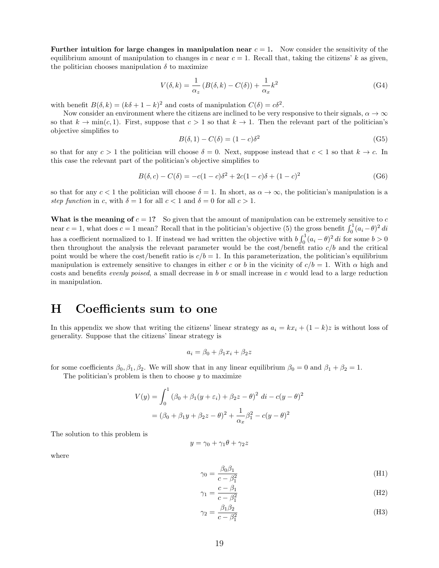Further intuition for large changes in manipulation near  $c = 1$ . Now consider the sensitivity of the equilibrium amount of manipulation to changes in c near  $c = 1$ . Recall that, taking the citizens' k as given, the politician chooses manipulation  $\delta$  to maximize

$$
V(\delta, k) = \frac{1}{\alpha_z} \left( B(\delta, k) - C(\delta) \right) + \frac{1}{\alpha_x} k^2
$$
 (G4)

with benefit  $B(\delta, k) = (k\delta + 1 - k)^2$  and costs of manipulation  $C(\delta) = c\delta^2$ .

Now consider an environment where the citizens are inclined to be very responsive to their signals,  $\alpha \to \infty$ so that  $k \to \min(c, 1)$ . First, suppose that  $c > 1$  so that  $k \to 1$ . Then the relevant part of the politician's objective simplifies to

$$
B(\delta, 1) - C(\delta) = (1 - c)\delta^2 \tag{G5}
$$

so that for any  $c > 1$  the politician will choose  $\delta = 0$ . Next, suppose instead that  $c < 1$  so that  $k \to c$ . In this case the relevant part of the politician's objective simplifies to

$$
B(\delta, c) - C(\delta) = -c(1 - c)\delta^2 + 2c(1 - c)\delta + (1 - c)^2
$$
 (G6)

so that for any  $c < 1$  the politician will choose  $\delta = 1$ . In short, as  $\alpha \to \infty$ , the politician's manipulation is a step function in c, with  $\delta = 1$  for all  $c < 1$  and  $\delta = 0$  for all  $c > 1$ .

What is the meaning of  $c = 1$ ? So given that the amount of manipulation can be extremely sensitive to c near  $c = 1$ , what does  $c = 1$  mean? Recall that in the politician's objective (5) the gross benefit  $\int_0^1 (a_i - \theta)^2 di$ has a coefficient normalized to 1. If instead we had written the objective with  $b \int_0^1 (a_i - \theta)^2 di$  for some  $b > 0$ then throughout the analysis the relevant parameter would be the cost/benefit ratio c/b and the critical point would be where the cost/benefit ratio is  $c/b = 1$ . In this parameterization, the politician's equilibrium manipulation is extremely sensitive to changes in either c or b in the vicinity of  $c/b = 1$ . With  $\alpha$  high and costs and benefits *evenly poised*, a small decrease in b or small increase in c would lead to a large reduction in manipulation.

## <span id="page-19-0"></span>H Coefficients sum to one

In this appendix we show that writing the citizens' linear strategy as  $a_i = kx_i + (1 - k)z$  is without loss of generality. Suppose that the citizens' linear strategy is

$$
a_i = \beta_0 + \beta_1 x_i + \beta_2 z
$$

for some coefficients  $\beta_0$ ,  $\beta_1$ ,  $\beta_2$ . We will show that in any linear equilibrium  $\beta_0 = 0$  and  $\beta_1 + \beta_2 = 1$ .

The politician's problem is then to choose  $y$  to maximize

$$
V(y) = \int_0^1 (\beta_0 + \beta_1(y + \varepsilon_i) + \beta_2 z - \theta)^2 \, di - c(y - \theta)^2
$$

$$
= (\beta_0 + \beta_1 y + \beta_2 z - \theta)^2 + \frac{1}{\alpha_x} \beta_1^2 - c(y - \theta)^2
$$

The solution to this problem is

$$
y = \gamma_0 + \gamma_1 \theta + \gamma_2 z
$$

where

<span id="page-19-1"></span>
$$
\gamma_0 = \frac{\beta_0 \beta_1}{c - \beta_1^2} \tag{H1}
$$

$$
\gamma_1 = \frac{c - \beta_1}{c - \beta_1^2} \tag{H2}
$$

<span id="page-19-3"></span><span id="page-19-2"></span>
$$
\gamma_2 = \frac{\beta_1 \beta_2}{c - \beta_1^2} \tag{H3}
$$